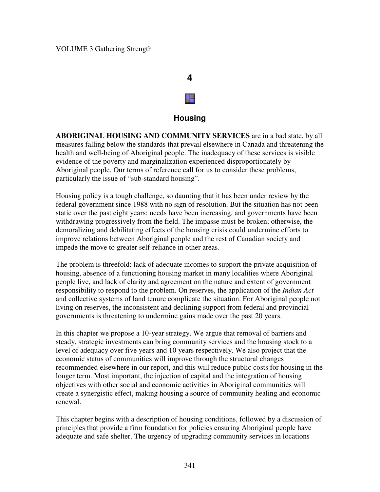# **4** a

### **Housing**

**ABORIGINAL HOUSING AND COMMUNITY SERVICES** are in a bad state, by all measures falling below the standards that prevail elsewhere in Canada and threatening the health and well-being of Aboriginal people. The inadequacy of these services is visible evidence of the poverty and marginalization experienced disproportionately by Aboriginal people. Our terms of reference call for us to consider these problems, particularly the issue of "sub-standard housing".

Housing policy is a tough challenge, so daunting that it has been under review by the federal government since 1988 with no sign of resolution. But the situation has not been static over the past eight years: needs have been increasing, and governments have been withdrawing progressively from the field. The impasse must be broken; otherwise, the demoralizing and debilitating effects of the housing crisis could undermine efforts to improve relations between Aboriginal people and the rest of Canadian society and impede the move to greater self-reliance in other areas.

The problem is threefold: lack of adequate incomes to support the private acquisition of housing, absence of a functioning housing market in many localities where Aboriginal people live, and lack of clarity and agreement on the nature and extent of government responsibility to respond to the problem. On reserves, the application of the *Indian Act* and collective systems of land tenure complicate the situation. For Aboriginal people not living on reserves, the inconsistent and declining support from federal and provincial governments is threatening to undermine gains made over the past 20 years.

In this chapter we propose a 10-year strategy. We argue that removal of barriers and steady, strategic investments can bring community services and the housing stock to a level of adequacy over five years and 10 years respectively. We also project that the economic status of communities will improve through the structural changes recommended elsewhere in our report, and this will reduce public costs for housing in the longer term. Most important, the injection of capital and the integration of housing objectives with other social and economic activities in Aboriginal communities will create a synergistic effect, making housing a source of community healing and economic renewal.

This chapter begins with a description of housing conditions, followed by a discussion of principles that provide a firm foundation for policies ensuring Aboriginal people have adequate and safe shelter. The urgency of upgrading community services in locations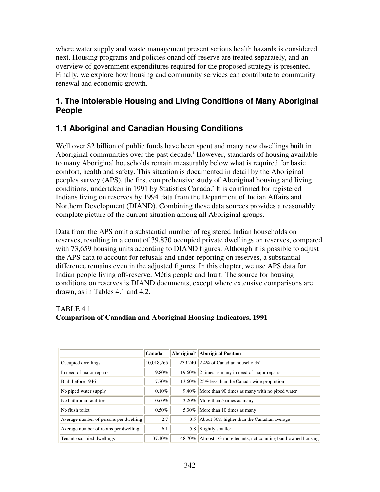where water supply and waste management present serious health hazards is considered next. Housing programs and policies onand off-reserve are treated separately, and an overview of government expenditures required for the proposed strategy is presented. Finally, we explore how housing and community services can contribute to community renewal and economic growth.

### **1. The Intolerable Housing and Living Conditions of Many Aboriginal People**

# **1.1 Aboriginal and Canadian Housing Conditions**

Well over \$2 billion of public funds have been spent and many new dwellings built in Aboriginal communities over the past decade. <sup>1</sup> However, standards of housing available to many Aboriginal households remain measurably below what is required for basic comfort, health and safety. This situation is documented in detail by the Aboriginal peoples survey (APS), the first comprehensive study of Aboriginal housing and living conditions, undertaken in 1991 by Statistics Canada. 2 It is confirmed for registered Indians living on reserves by 1994 data from the Department of Indian Affairs and Northern Development (DIAND). Combining these data sources provides a reasonably complete picture of the current situation among all Aboriginal groups.

Data from the APS omit a substantial number of registered Indian households on reserves, resulting in a count of 39,870 occupied private dwellings on reserves, compared with 73,659 housing units according to DIAND figures. Although it is possible to adjust the APS data to account for refusals and under-reporting on reserves, a substantial difference remains even in the adjusted figures. In this chapter, we use APS data for Indian people living off-reserve, Métis people and Inuit. The source for housing conditions on reserves is DIAND documents, except where extensive comparisons are drawn, as in Tables 4.1 and 4.2.

### TABLE 4.1

### **Comparison of Canadian and Aboriginal Housing Indicators, 1991**

|                                        | Canada     | Aboriginal <sup>1</sup> | <b>Aboriginal Position</b>                               |
|----------------------------------------|------------|-------------------------|----------------------------------------------------------|
| Occupied dwellings                     | 10,018,265 |                         | $239.240$ 2.4% of Canadian households <sup>2</sup>       |
| In need of major repairs               | 9.80%      | 19.60%                  | 2 times as many in need of major repairs                 |
| Built before 1946                      | 17.70%     | 13.60%                  | $ 25\% $ less than the Canada-wide proportion            |
| No piped water supply                  | 0.10%      |                         | $9.40\%$ More than 90 times as many with no piped water  |
| No bathroom facilities                 | 0.60%      |                         | $3.20\%$ More than 5 times as many                       |
| No flush toilet                        | 0.50%      |                         | 5.30% More than 10 times as many                         |
| Average number of persons per dwelling | 2.7        | 3.5                     | About 30% higher than the Canadian average               |
| Average number of rooms per dwelling   | 6.1        | 5.8                     | Slightly smaller                                         |
| Tenant-occupied dwellings              | 37.10%     | 48.70%                  | Almost 1/3 more tenants, not counting band-owned housing |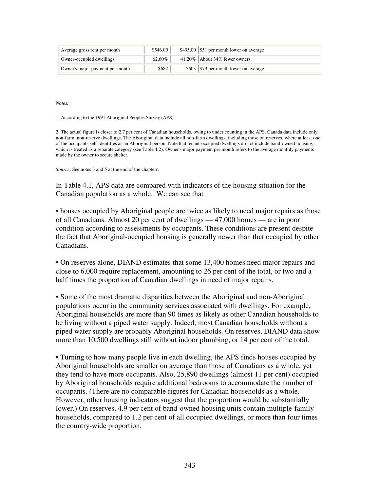| Average gross rent per month            | \$546.00 | $$495.00$ \  \$51 per month lower on average |
|-----------------------------------------|----------|----------------------------------------------|
| Owner-occupied dwellings                | 62.60%   | $41.20\%$ About 34% fewer owners             |
| $\vert$ Owner's major payment per month | \$682    | \$603 \$79 per month lower on average        |

*Notes:*

1. According to the 1991 Aboriginal Peoples Survey (APS).

2. The actual figure is closer to 2.7 per cent of Canadian households, owing to under counting in the APS. Canada data include only non-farm, non-reserve dwellings. The Aboriginal data include all non-farm dwellings, including those on reserves, where at least one of the occupants self-identifies as an Aboriginal person. Note that tenant-occupied dwellings do not include band-owned housing, which is treated as a separate category (see Table 4.2). Owner's major payment per month refers to the average monthly payments made by the owner to secure shelter.

*Source*: See notes 3 and 5 at the end of the chapterr.

In Table 4.1, APS data are compared with indicators of the housing situation for the Canadian population as a whole. <sup>3</sup> We can see that

• houses occupied by Aboriginal people are twice as likely to need major repairs as those of all Canadians. Almost 20 per cent of dwellings — 47,000 homes — are in poor condition according to assessments by occupants. These conditions are present despite the fact that Aboriginal-occupied housing is generally newer than that occupied by other Canadians.

• On reserves alone, DIAND estimates that some 13,400 homes need major repairs and close to 6,000 require replacement, amounting to 26 per cent of the total, or two and a half times the proportion of Canadian dwellings in need of major repairs.

• Some of the most dramatic disparities between the Aboriginal and non-Aboriginal populations occur in the community services associated with dwellings. For example, Aboriginal households are more than 90 times as likely as other Canadian households to be living without a piped water supply. Indeed, most Canadian households without a piped water supply are probably Aboriginal households. On reserves, DIAND data show more than 10,500 dwellings still without indoor plumbing, or 14 per cent of the total.

• Turning to how many people live in each dwelling, the APS finds houses occupied by Aboriginal households are smaller on average than those of Canadians as a whole, yet they tend to have more occupants. Also, 25,890 dwellings (almost 11 per cent) occupied by Aboriginal households require additional bedrooms to accommodate the number of occupants. (There are no comparable figures for Canadian households as a whole. However, other housing indicators suggest that the proportion would be substantially lower.) On reserves, 4.9 per cent of band-owned housing units contain multiple-family households, compared to 1.2 per cent of all occupied dwellings, or more than four times the country-wide proportion.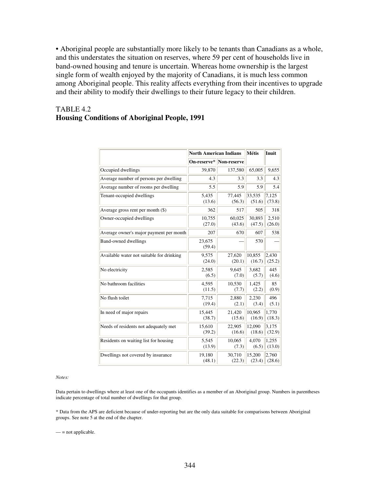• Aboriginal people are substantially more likely to be tenants than Canadians as a whole, and this understates the situation on reserves, where 59 per cent of households live in band-owned housing and tenure is uncertain. Whereas home ownership is the largest single form of wealth enjoyed by the majority of Canadians, it is much less common among Aboriginal people. This reality affects everything from their incentives to upgrade and their ability to modify their dwellings to their future legacy to their children.

#### TABLE 4.2 **Housing Conditions of Aboriginal People, 1991**

|                                           | <b>North American Indians</b> | <b>Métis</b> | Inuit  |        |
|-------------------------------------------|-------------------------------|--------------|--------|--------|
|                                           | On-reserve*                   | Non-reserve  |        |        |
| Occupied dwellings                        | 39,870                        | 137,580      | 65,005 | 9,655  |
| Average number of persons per dwelling    | 4.3                           | 3.3          | 3.3    | 4.3    |
| Average number of rooms per dwelling      | 5.5                           | 5.9          | 5.9    | 5.4    |
| Tenant-occupied dwellings                 | 5,435                         | 77,445       | 33,535 | 7,125  |
|                                           | (13.6)                        | (56.3)       | (51.6) | (73.8) |
| Average gross rent per month $(\$)$       | 362                           | 517          | 505    | 318    |
| Owner-occupied dwellings                  | 10,755                        | 60,025       | 30,893 | 2,510  |
|                                           | (27.0)                        | (43.6)       | (47.5) | (26.0) |
| Average owner's major payment per month   | 207                           | 670          | 607    | 538    |
| <b>Band-owned dwellings</b>               | 23,675<br>(59.4)              |              | 570    |        |
| Available water not suitable for drinking | 9,575                         | 27,620       | 10,855 | 2,430  |
|                                           | (24.0)                        | (20.1)       | (16.7) | (25.2) |
| No electricity                            | 2,585                         | 9,645        | 3,682  | 445    |
|                                           | (6.5)                         | (7.0)        | (5.7)  | (4.6)  |
| No bathroom facilities                    | 4,595                         | 10,530       | 1,425  | 85     |
|                                           | (11.5)                        | (7.7)        | (2.2)  | (0.9)  |
| No flush toilet                           | 7,715                         | 2,880        | 2.230  | 496    |
|                                           | (19.4)                        | (2.1)        | (3.4)  | (5.1)  |
| In need of major repairs                  | 15,445                        | 21.420       | 10.965 | 1.770  |
|                                           | (38.7)                        | (15.6)       | (16.9) | (18.3) |
| Needs of residents not adequately met     | 15,610                        | 22,905       | 12,090 | 3,175  |
|                                           | (39.2)                        | (16.6)       | (18.6) | (32.9) |
| Residents on waiting list for housing     | 5,545                         | 10,065       | 4,070  | 1,255  |
|                                           | (13.9)                        | (7.3)        | (6.5)  | (13.0) |
| Dwellings not covered by insurance        | 19,180                        | 30,710       | 15,200 | 2,760  |
|                                           | (48.1)                        | (22.3)       | (23.4) | (28.6) |

*Notes:*

Data pertain to dwellings where at least one of the occupants identifies as a member of an Aboriginal group. Numbers in parentheses indicate percentage of total number of dwellings for that group.

\* Data from the APS are deficient because of under-reporting but are the only data suitable for comparisons between Aboriginal groups. See note 5 at the end of the chapter.

 $-$  = not applicable.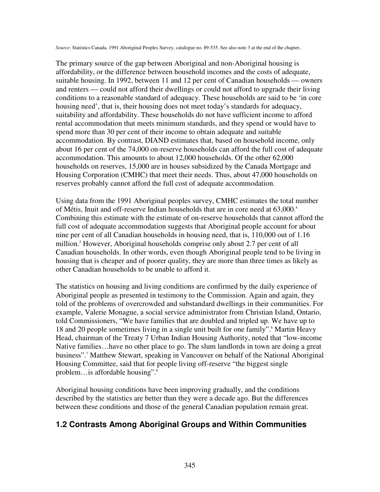*Source*: Statistics Canada, 1991 Aboriginal Peoples Survey, catalogue no. 89-535. See also note 3 at the end of the chapter..

The primary source of the gap between Aboriginal and non-Aboriginal housing is affordability, or the difference between household incomes and the costs of adequate, suitable housing. In 1992, between 11 and 12 per cent of Canadian households — owners and renters — could not afford their dwellings or could not afford to upgrade their living conditions to a reasonable standard of adequacy. These households are said to be 'in core housing need', that is, their housing does not meet today's standards for adequacy, suitability and affordability. These households do not have sufficient income to afford rental accommodation that meets minimum standards, and they spend or would have to spend more than 30 per cent of their income to obtain adequate and suitable accommodation. By contrast, DIAND estimates that, based on household income, only about 16 per cent of the 74,000 on-reserve households can afford the full cost of adequate accommodation. This amounts to about 12,000 households. Of the other 62,000 households on reserves, 15,000 are in houses subsidized by the Canada Mortgage and Housing Corporation (CMHC) that meet their needs. Thus, about 47,000 households on reserves probably cannot afford the full cost of adequate accommodation.

Using data from the 1991 Aboriginal peoples survey, CMHC estimates the total number of Métis, Inuit and off-reserve Indian households that are in core need at 63,000. 4 Combining this estimate with the estimate of on-reserve households that cannot afford the full cost of adequate accommodation suggests that Aboriginal people account for about nine per cent of all Canadian households in housing need, that is, 110,000 out of 1.16 million. <sup>5</sup> However, Aboriginal households comprise only about 2.7 per cent of all Canadian households. In other words, even though Aboriginal people tend to be living in housing that is cheaper and of poorer quality, they are more than three times as likely as other Canadian households to be unable to afford it.

The statistics on housing and living conditions are confirmed by the daily experience of Aboriginal people as presented in testimony to the Commission. Again and again, they told of the problems of overcrowded and substandard dwellings in their communities. For example, Valerie Monague, a social service administrator from Christian Island, Ontario, told Commissioners, "We have families that are doubled and tripled up. We have up to 18 and 20 people sometimes living in a single unit built for one family". <sup>6</sup> Martin Heavy Head, chairman of the Treaty 7 Urban Indian Housing Authority, noted that "low-income Native families…have no other place to go. The slum landlords in town are doing a great business". <sup>7</sup> Matthew Stewart, speaking in Vancouver on behalf of the National Aboriginal Housing Committee, said that for people living off-reserve "the biggest single problem…is affordable housing". 8

Aboriginal housing conditions have been improving gradually, and the conditions described by the statistics are better than they were a decade ago. But the differences between these conditions and those of the general Canadian population remain great.

### **1.2 Contrasts Among Aboriginal Groups and Within Communities**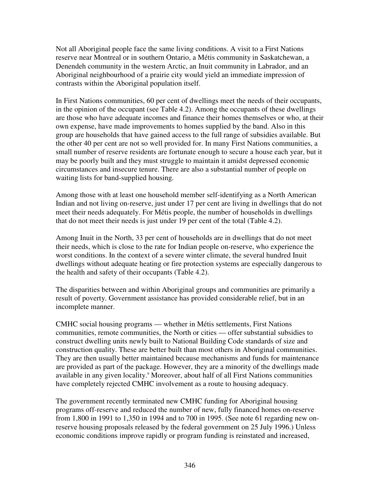Not all Aboriginal people face the same living conditions. A visit to a First Nations reserve near Montreal or in southern Ontario, a Métis community in Saskatchewan, a Denendeh community in the western Arctic, an Inuit community in Labrador, and an Aboriginal neighbourhood of a prairie city would yield an immediate impression of contrasts within the Aboriginal population itself.

In First Nations communities, 60 per cent of dwellings meet the needs of their occupants, in the opinion of the occupant (see Table 4.2). Among the occupants of these dwellings are those who have adequate incomes and finance their homes themselves or who, at their own expense, have made improvements to homes supplied by the band. Also in this group are households that have gained access to the full range of subsidies available. But the other 40 per cent are not so well provided for. In many First Nations communities, a small number of reserve residents are fortunate enough to secure a house each year, but it may be poorly built and they must struggle to maintain it amidst depressed economic circumstances and insecure tenure. There are also a substantial number of people on waiting lists for band-supplied housing.

Among those with at least one household member self-identifying as a North American Indian and not living on-reserve, just under 17 per cent are living in dwellings that do not meet their needs adequately. For Métis people, the number of households in dwellings that do not meet their needs is just under 19 per cent of the total (Table 4.2).

Among Inuit in the North, 33 per cent of households are in dwellings that do not meet their needs, which is close to the rate for Indian people on-reserve, who experience the worst conditions. In the context of a severe winter climate, the several hundred Inuit dwellings without adequate heating or fire protection systems are especially dangerous to the health and safety of their occupants (Table 4.2).

The disparities between and within Aboriginal groups and communities are primarily a result of poverty. Government assistance has provided considerable relief, but in an incomplete manner.

CMHC social housing programs — whether in Métis settlements, First Nations communities, remote communities, the North or cities — offer substantial subsidies to construct dwelling units newly built to National Building Code standards of size and construction quality. These are better built than most others in Aboriginal communities. They are then usually better maintained because mechanisms and funds for maintenance are provided as part of the package. However, they are a minority of the dwellings made available in any given locality. <sup>9</sup> Moreover, about half of all First Nations communities have completely rejected CMHC involvement as a route to housing adequacy.

The government recently terminated new CMHC funding for Aboriginal housing programs off-reserve and reduced the number of new, fully financed homes on-reserve from 1,800 in 1991 to 1,350 in 1994 and to 700 in 1995. (See note 61 regarding new onreserve housing proposals released by the federal government on 25 July 1996.) Unless economic conditions improve rapidly or program funding is reinstated and increased,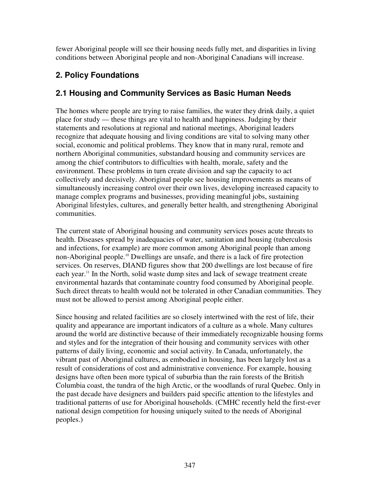fewer Aboriginal people will see their housing needs fully met, and disparities in living conditions between Aboriginal people and non-Aboriginal Canadians will increase.

# **2. Policy Foundations**

# **2.1 Housing and Community Services as Basic Human Needs**

The homes where people are trying to raise families, the water they drink daily, a quiet place for study — these things are vital to health and happiness. Judging by their statements and resolutions at regional and national meetings, Aboriginal leaders recognize that adequate housing and living conditions are vital to solving many other social, economic and political problems. They know that in many rural, remote and northern Aboriginal communities, substandard housing and community services are among the chief contributors to difficulties with health, morale, safety and the environment. These problems in turn create division and sap the capacity to act collectively and decisively. Aboriginal people see housing improvements as means of simultaneously increasing control over their own lives, developing increased capacity to manage complex programs and businesses, providing meaningful jobs, sustaining Aboriginal lifestyles, cultures, and generally better health, and strengthening Aboriginal communities.

The current state of Aboriginal housing and community services poses acute threats to health. Diseases spread by inadequacies of water, sanitation and housing (tuberculosis and infections, for example) are more common among Aboriginal people than among non-Aboriginal people. <sup>10</sup> Dwellings are unsafe, and there is a lack of fire protection services. On reserves, DIAND figures show that 200 dwellings are lost because of fire each year.<sup>11</sup> In the North, solid waste dump sites and lack of sewage treatment create environmental hazards that contaminate country food consumed by Aboriginal people. Such direct threats to health would not be tolerated in other Canadian communities. They must not be allowed to persist among Aboriginal people either.

Since housing and related facilities are so closely intertwined with the rest of life, their quality and appearance are important indicators of a culture as a whole. Many cultures around the world are distinctive because of their immediately recognizable housing forms and styles and for the integration of their housing and community services with other patterns of daily living, economic and social activity. In Canada, unfortunately, the vibrant past of Aboriginal cultures, as embodied in housing, has been largely lost as a result of considerations of cost and administrative convenience. For example, housing designs have often been more typical of suburbia than the rain forests of the British Columbia coast, the tundra of the high Arctic, or the woodlands of rural Quebec. Only in the past decade have designers and builders paid specific attention to the lifestyles and traditional patterns of use for Aboriginal households. (CMHC recently held the first-ever national design competition for housing uniquely suited to the needs of Aboriginal peoples.)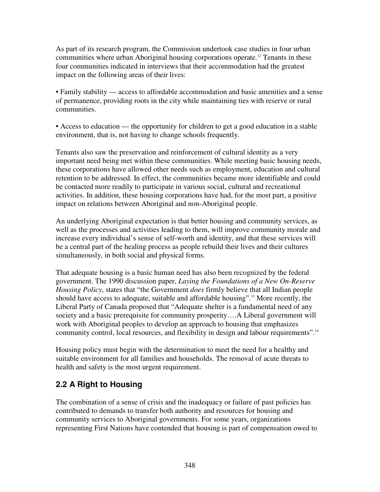As part of its research program, the Commission undertook case studies in four urban communities where urban Aboriginal housing corporations operate. <sup>12</sup> Tenants in these four communities indicated in interviews that their accommodation had the greatest impact on the following areas of their lives:

• Family stability — access to affordable accommodation and basic amenities and a sense of permanence, providing roots in the city while maintaining ties with reserve or rural communities.

• Access to education — the opportunity for children to get a good education in a stable environment, that is, not having to change schools frequently.

Tenants also saw the preservation and reinforcement of cultural identity as a very important need being met within these communities. While meeting basic housing needs, these corporations have allowed other needs such as employment, education and cultural retention to be addressed. In effect, the communities became more identifiable and could be contacted more readily to participate in various social, cultural and recreational activities. In addition, these housing corporations have had, for the most part, a positive impact on relations between Aboriginal and non-Aboriginal people.

An underlying Aboriginal expectation is that better housing and community services, as well as the processes and activities leading to them, will improve community morale and increase every individual's sense of self-worth and identity, and that these services will be a central part of the healing process as people rebuild their lives and their cultures simultaneously, in both social and physical forms.

That adequate housing is a basic human need has also been recognized by the federal government. The 1990 discussion paper, *Laying the Foundations of a New On-Reserve Housing Policy*, states that "the Government *does* firmly believe that all Indian people should have access to adequate, suitable and affordable housing". <sup>13</sup> More recently, the Liberal Party of Canada proposed that "Adequate shelter is a fundamental need of any society and a basic prerequisite for community prosperity….A Liberal government will work with Aboriginal peoples to develop an approach to housing that emphasizes community control, local resources, and flexibility in design and labour requirements".<sup>14</sup>

Housing policy must begin with the determination to meet the need for a healthy and suitable environment for all families and households. The removal of acute threats to health and safety is the most urgent requirement.

# **2.2 A Right to Housing**

The combination of a sense of crisis and the inadequacy or failure of past policies has contributed to demands to transfer both authority and resources for housing and community services to Aboriginal governments. For some years, organizations representing First Nations have contended that housing is part of compensation owed to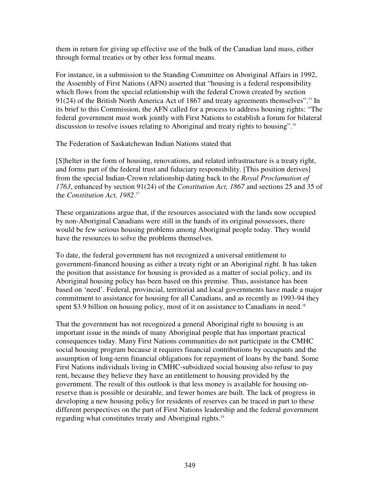them in return for giving up effective use of the bulk of the Canadian land mass, either through formal treaties or by other less formal means.

For instance, in a submission to the Standing Committee on Aboriginal Affairs in 1992, the Assembly of First Nations (AFN) asserted that "housing is a federal responsibility which flows from the special relationship with the federal Crown created by section 91(24) of the British North America Act of 1867 and treaty agreements themselves".<sup>15</sup> In its brief to this Commission, the AFN called for a process to address housing rights: "The federal government must work jointly with First Nations to establish a forum for bilateral discussion to resolve issues relating to Aboriginal and treaty rights to housing". 16

The Federation of Saskatchewan Indian Nations stated that

[S]helter in the form of housing, renovations, and related infrastructure is a treaty right, and forms part of the federal trust and fiduciary responsibility. [This position derives] from the special Indian-Crown relationship dating back to the *Royal Proclamation of 1763*, enhanced by section 91(24) of the *Constitution Act, 1867* and sections 25 and 35 of the *Constitution Act, 1982*. 17

These organizations argue that, if the resources associated with the lands now occupied by non-Aboriginal Canadians were still in the hands of its original possessors, there would be few serious housing problems among Aboriginal people today. They would have the resources to solve the problems themselves.

To date, the federal government has not recognized a universal entitlement to government-financed housing as either a treaty right or an Aboriginal right. It has taken the position that assistance for housing is provided as a matter of social policy, and its Aboriginal housing policy has been based on this premise. Thus, assistance has been based on 'need'. Federal, provincial, territorial and local governments have made a major commitment to assistance for housing for all Canadians, and as recently as 1993-94 they spent \$3.9 billion on housing policy, most of it on assistance to Canadians in need.<sup>18</sup>

That the government has not recognized a general Aboriginal right to housing is an important issue in the minds of many Aboriginal people that has important practical consequences today. Many First Nations communities do not participate in the CMHC social housing program because it requires financial contributions by occupants and the assumption of long-term financial obligations for repayment of loans by the band. Some First Nations individuals living in CMHC-subsidized social housing also refuse to pay rent, because they believe they have an entitlement to housing provided by the government. The result of this outlook is that less money is available for housing onreserve than is possible or desirable, and fewer homes are built. The lack of progress in developing a new housing policy for residents of reserves can be traced in part to these different perspectives on the part of First Nations leadership and the federal government regarding what constitutes treaty and Aboriginal rights.<sup>19</sup>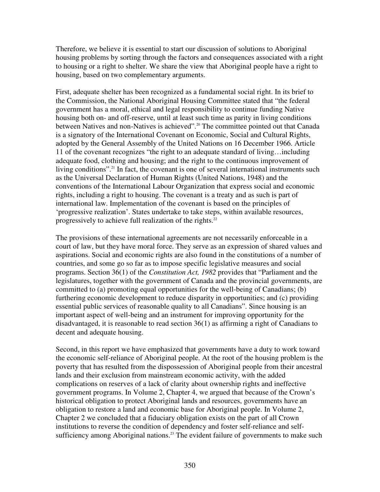Therefore, we believe it is essential to start our discussion of solutions to Aboriginal housing problems by sorting through the factors and consequences associated with a right to housing or a right to shelter. We share the view that Aboriginal people have a right to housing, based on two complementary arguments.

First, adequate shelter has been recognized as a fundamental social right. In its brief to the Commission, the National Aboriginal Housing Committee stated that "the federal government has a moral, ethical and legal responsibility to continue funding Native housing both on- and off-reserve, until at least such time as parity in living conditions between Natives and non-Natives is achieved". <sup>20</sup> The committee pointed out that Canada is a signatory of the International Covenant on Economic, Social and Cultural Rights, adopted by the General Assembly of the United Nations on 16 December 1966. Article 11 of the covenant recognizes "the right to an adequate standard of living…including adequate food, clothing and housing; and the right to the continuous improvement of living conditions".<sup>21</sup> In fact, the covenant is one of several international instruments such as the Universal Declaration of Human Rights (United Nations, 1948) and the conventions of the International Labour Organization that express social and economic rights, including a right to housing. The covenant is a treaty and as such is part of international law. Implementation of the covenant is based on the principles of 'progressive realization'. States undertake to take steps, within available resources, progressively to achieve full realization of the rights.<sup>22</sup>

The provisions of these international agreements are not necessarily enforceable in a court of law, but they have moral force. They serve as an expression of shared values and aspirations. Social and economic rights are also found in the constitutions of a number of countries, and some go so far as to impose specific legislative measures and social programs. Section 36(1) of the *Constitution Act, 1982* provides that "Parliament and the legislatures, together with the government of Canada and the provincial governments, are committed to (a) promoting equal opportunities for the well-being of Canadians; (b) furthering economic development to reduce disparity in opportunities; and (c) providing essential public services of reasonable quality to all Canadians". Since housing is an important aspect of well-being and an instrument for improving opportunity for the disadvantaged, it is reasonable to read section 36(1) as affirming a right of Canadians to decent and adequate housing.

Second, in this report we have emphasized that governments have a duty to work toward the economic self-reliance of Aboriginal people. At the root of the housing problem is the poverty that has resulted from the dispossession of Aboriginal people from their ancestral lands and their exclusion from mainstream economic activity, with the added complications on reserves of a lack of clarity about ownership rights and ineffective government programs. In Volume 2, Chapter 4, we argued that because of the Crown's historical obligation to protect Aboriginal lands and resources, governments have an obligation to restore a land and economic base for Aboriginal people. In Volume 2, Chapter 2 we concluded that a fiduciary obligation exists on the part of all Crown institutions to reverse the condition of dependency and foster self-reliance and selfsufficiency among Aboriginal nations.<sup>23</sup> The evident failure of governments to make such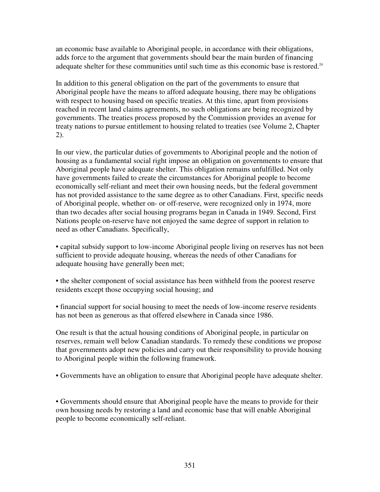an economic base available to Aboriginal people, in accordance with their obligations, adds force to the argument that governments should bear the main burden of financing adequate shelter for these communities until such time as this economic base is restored.<sup>24</sup>

In addition to this general obligation on the part of the governments to ensure that Aboriginal people have the means to afford adequate housing, there may be obligations with respect to housing based on specific treaties. At this time, apart from provisions reached in recent land claims agreements, no such obligations are being recognized by governments. The treaties process proposed by the Commission provides an avenue for treaty nations to pursue entitlement to housing related to treaties (see Volume 2, Chapter 2).

In our view, the particular duties of governments to Aboriginal people and the notion of housing as a fundamental social right impose an obligation on governments to ensure that Aboriginal people have adequate shelter. This obligation remains unfulfilled. Not only have governments failed to create the circumstances for Aboriginal people to become economically self-reliant and meet their own housing needs, but the federal government has not provided assistance to the same degree as to other Canadians. First, specific needs of Aboriginal people, whether on- or off-reserve, were recognized only in 1974, more than two decades after social housing programs began in Canada in 1949. Second, First Nations people on-reserve have not enjoyed the same degree of support in relation to need as other Canadians. Specifically,

• capital subsidy support to low-income Aboriginal people living on reserves has not been sufficient to provide adequate housing, whereas the needs of other Canadians for adequate housing have generally been met;

• the shelter component of social assistance has been withheld from the poorest reserve residents except those occupying social housing; and

• financial support for social housing to meet the needs of low-income reserve residents has not been as generous as that offered elsewhere in Canada since 1986.

One result is that the actual housing conditions of Aboriginal people, in particular on reserves, remain well below Canadian standards. To remedy these conditions we propose that governments adopt new policies and carry out their responsibility to provide housing to Aboriginal people within the following framework.

• Governments have an obligation to ensure that Aboriginal people have adequate shelter.

• Governments should ensure that Aboriginal people have the means to provide for their own housing needs by restoring a land and economic base that will enable Aboriginal people to become economically self-reliant.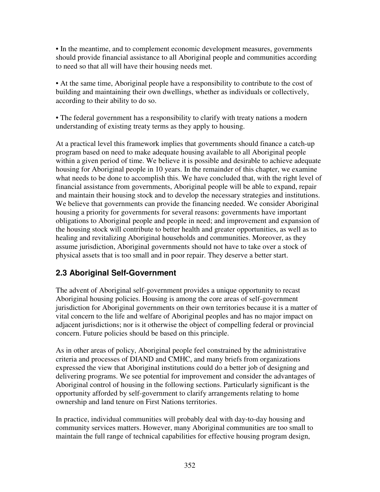• In the meantime, and to complement economic development measures, governments should provide financial assistance to all Aboriginal people and communities according to need so that all will have their housing needs met.

• At the same time, Aboriginal people have a responsibility to contribute to the cost of building and maintaining their own dwellings, whether as individuals or collectively, according to their ability to do so.

• The federal government has a responsibility to clarify with treaty nations a modern understanding of existing treaty terms as they apply to housing.

At a practical level this framework implies that governments should finance a catch-up program based on need to make adequate housing available to all Aboriginal people within a given period of time. We believe it is possible and desirable to achieve adequate housing for Aboriginal people in 10 years. In the remainder of this chapter, we examine what needs to be done to accomplish this. We have concluded that, with the right level of financial assistance from governments, Aboriginal people will be able to expand, repair and maintain their housing stock and to develop the necessary strategies and institutions. We believe that governments can provide the financing needed. We consider Aboriginal housing a priority for governments for several reasons: governments have important obligations to Aboriginal people and people in need; and improvement and expansion of the housing stock will contribute to better health and greater opportunities, as well as to healing and revitalizing Aboriginal households and communities. Moreover, as they assume jurisdiction, Aboriginal governments should not have to take over a stock of physical assets that is too small and in poor repair. They deserve a better start.

# **2.3 Aboriginal Self-Government**

The advent of Aboriginal self-government provides a unique opportunity to recast Aboriginal housing policies. Housing is among the core areas of self-government jurisdiction for Aboriginal governments on their own territories because it is a matter of vital concern to the life and welfare of Aboriginal peoples and has no major impact on adjacent jurisdictions; nor is it otherwise the object of compelling federal or provincial concern. Future policies should be based on this principle.

As in other areas of policy, Aboriginal people feel constrained by the administrative criteria and processes of DIAND and CMHC, and many briefs from organizations expressed the view that Aboriginal institutions could do a better job of designing and delivering programs. We see potential for improvement and consider the advantages of Aboriginal control of housing in the following sections. Particularly significant is the opportunity afforded by self-government to clarify arrangements relating to home ownership and land tenure on First Nations territories.

In practice, individual communities will probably deal with day-to-day housing and community services matters. However, many Aboriginal communities are too small to maintain the full range of technical capabilities for effective housing program design,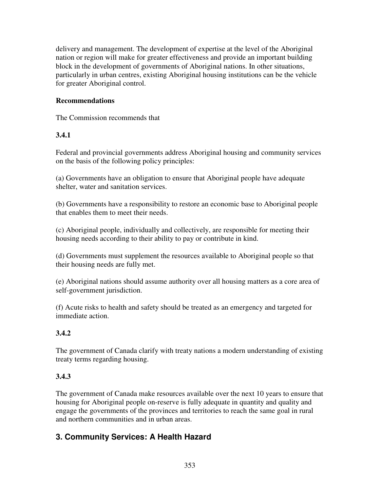delivery and management. The development of expertise at the level of the Aboriginal nation or region will make for greater effectiveness and provide an important building block in the development of governments of Aboriginal nations. In other situations, particularly in urban centres, existing Aboriginal housing institutions can be the vehicle for greater Aboriginal control.

### **Recommendations**

The Commission recommends that

### **3.4.1**

Federal and provincial governments address Aboriginal housing and community services on the basis of the following policy principles:

(a) Governments have an obligation to ensure that Aboriginal people have adequate shelter, water and sanitation services.

(b) Governments have a responsibility to restore an economic base to Aboriginal people that enables them to meet their needs.

(c) Aboriginal people, individually and collectively, are responsible for meeting their housing needs according to their ability to pay or contribute in kind.

(d) Governments must supplement the resources available to Aboriginal people so that their housing needs are fully met.

(e) Aboriginal nations should assume authority over all housing matters as a core area of self-government jurisdiction.

(f) Acute risks to health and safety should be treated as an emergency and targeted for immediate action.

### **3.4.2**

The government of Canada clarify with treaty nations a modern understanding of existing treaty terms regarding housing.

### **3.4.3**

The government of Canada make resources available over the next 10 years to ensure that housing for Aboriginal people on-reserve is fully adequate in quantity and quality and engage the governments of the provinces and territories to reach the same goal in rural and northern communities and in urban areas.

# **3. Community Services: A Health Hazard**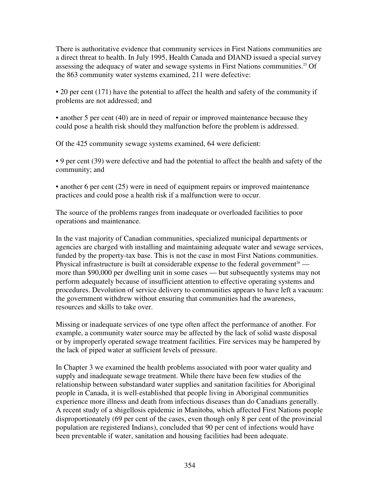There is authoritative evidence that community services in First Nations communities are a direct threat to health. In July 1995, Health Canada and DIAND issued a special survey assessing the adequacy of water and sewage systems in First Nations communities. <sup>25</sup> Of the 863 community water systems examined, 211 were defective:

• 20 per cent (171) have the potential to affect the health and safety of the community if problems are not addressed; and

• another 5 per cent (40) are in need of repair or improved maintenance because they could pose a health risk should they malfunction before the problem is addressed.

Of the 425 community sewage systems examined, 64 were deficient:

• 9 per cent (39) were defective and had the potential to affect the health and safety of the community; and

• another 6 per cent (25) were in need of equipment repairs or improved maintenance practices and could pose a health risk if a malfunction were to occur.

The source of the problems ranges from inadequate or overloaded facilities to poor operations and maintenance.

In the vast majority of Canadian communities, specialized municipal departments or agencies are charged with installing and maintaining adequate water and sewage services, funded by the property-tax base. This is not the case in most First Nations communities. Physical infrastructure is built at considerable expense to the federal government<sup>26</sup> more than \$90,000 per dwelling unit in some cases — but subsequently systems may not perform adequately because of insufficient attention to effective operating systems and procedures. Devolution of service delivery to communities appears to have left a vacuum: the government withdrew without ensuring that communities had the awareness, resources and skills to take over.

Missing or inadequate services of one type often affect the performance of another. For example, a community water source may be affected by the lack of solid waste disposal or by improperly operated sewage treatment facilities. Fire services may be hampered by the lack of piped water at sufficient levels of pressure.

In Chapter 3 we examined the health problems associated with poor water quality and supply and inadequate sewage treatment. While there have been few studies of the relationship between substandard water supplies and sanitation facilities for Aboriginal people in Canada, it is well-established that people living in Aboriginal communities experience more illness and death from infectious diseases than do Canadians generally. A recent study of a shigellosis epidemic in Manitoba, which affected First Nations people disproportionately (69 per cent of the cases, even though only 8 per cent of the provincial population are registered Indians), concluded that 90 per cent of infections would have been preventable if water, sanitation and housing facilities had been adequate.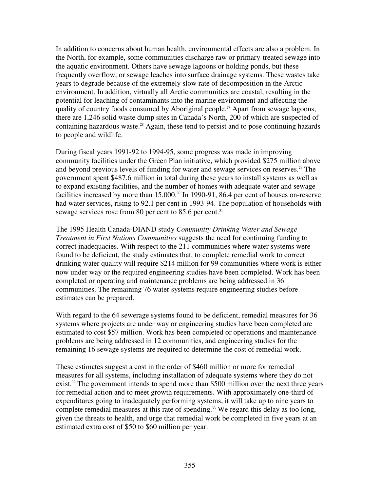In addition to concerns about human health, environmental effects are also a problem. In the North, for example, some communities discharge raw or primary-treated sewage into the aquatic environment. Others have sewage lagoons or holding ponds, but these frequently overflow, or sewage leaches into surface drainage systems. These wastes take years to degrade because of the extremely slow rate of decomposition in the Arctic environment. In addition, virtually all Arctic communities are coastal, resulting in the potential for leaching of contaminants into the marine environment and affecting the quality of country foods consumed by Aboriginal people. <sup>27</sup> Apart from sewage lagoons, there are 1,246 solid waste dump sites in Canada's North, 200 of which are suspected of containing hazardous waste. <sup>28</sup> Again, these tend to persist and to pose continuing hazards to people and wildlife.

During fiscal years 1991-92 to 1994-95, some progress was made in improving community facilities under the Green Plan initiative, which provided \$275 million above and beyond previous levels of funding for water and sewage services on reserves. <sup>29</sup> The government spent \$487.6 million in total during these years to install systems as well as to expand existing facilities, and the number of homes with adequate water and sewage facilities increased by more than 15,000.<sup>30</sup> In 1990-91, 86.4 per cent of houses on-reserve had water services, rising to 92.1 per cent in 1993-94. The population of households with sewage services rose from 80 per cent to 85.6 per cent.<sup>31</sup>

The 1995 Health Canada-DIAND study *Community Drinking Water and Sewage Treatment in First Nations Communities* suggests the need for continuing funding to correct inadequacies. With respect to the 211 communities where water systems were found to be deficient, the study estimates that, to complete remedial work to correct drinking water quality will require \$214 million for 99 communities where work is either now under way or the required engineering studies have been completed. Work has been completed or operating and maintenance problems are being addressed in 36 communities. The remaining 76 water systems require engineering studies before estimates can be prepared.

With regard to the 64 sewerage systems found to be deficient, remedial measures for 36 systems where projects are under way or engineering studies have been completed are estimated to cost \$57 million. Work has been completed or operations and maintenance problems are being addressed in 12 communities, and engineering studies for the remaining 16 sewage systems are required to determine the cost of remedial work.

These estimates suggest a cost in the order of \$460 million or more for remedial measures for all systems, including installation of adequate systems where they do not exist.<sup>32</sup> The government intends to spend more than \$500 million over the next three years for remedial action and to meet growth requirements. With approximately one-third of expenditures going to inadequately performing systems, it will take up to nine years to complete remedial measures at this rate of spending. <sup>33</sup> We regard this delay as too long, given the threats to health, and urge that remedial work be completed in five years at an estimated extra cost of \$50 to \$60 million per year.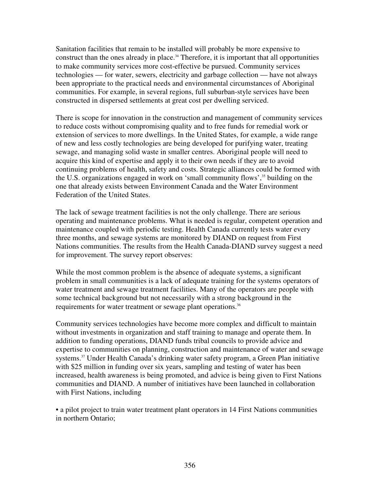Sanitation facilities that remain to be installed will probably be more expensive to construct than the ones already in place. <sup>34</sup> Therefore, it is important that all opportunities to make community services more cost-effective be pursued. Community services technologies — for water, sewers, electricity and garbage collection — have not always been appropriate to the practical needs and environmental circumstances of Aboriginal communities. For example, in several regions, full suburban-style services have been constructed in dispersed settlements at great cost per dwelling serviced.

There is scope for innovation in the construction and management of community services to reduce costs without compromising quality and to free funds for remedial work or extension of services to more dwellings. In the United States, for example, a wide range of new and less costly technologies are being developed for purifying water, treating sewage, and managing solid waste in smaller centres. Aboriginal people will need to acquire this kind of expertise and apply it to their own needs if they are to avoid continuing problems of health, safety and costs. Strategic alliances could be formed with the U.S. organizations engaged in work on 'small community flows', 35 building on the one that already exists between Environment Canada and the Water Environment Federation of the United States.

The lack of sewage treatment facilities is not the only challenge. There are serious operating and maintenance problems. What is needed is regular, competent operation and maintenance coupled with periodic testing. Health Canada currently tests water every three months, and sewage systems are monitored by DIAND on request from First Nations communities. The results from the Health Canada-DIAND survey suggest a need for improvement. The survey report observes:

While the most common problem is the absence of adequate systems, a significant problem in small communities is a lack of adequate training for the systems operators of water treatment and sewage treatment facilities. Many of the operators are people with some technical background but not necessarily with a strong background in the requirements for water treatment or sewage plant operations.<sup>36</sup>

Community services technologies have become more complex and difficult to maintain without investments in organization and staff training to manage and operate them. In addition to funding operations, DIAND funds tribal councils to provide advice and expertise to communities on planning, construction and maintenance of water and sewage systems.<sup>37</sup> Under Health Canada's drinking water safety program, a Green Plan initiative with \$25 million in funding over six years, sampling and testing of water has been increased, health awareness is being promoted, and advice is being given to First Nations communities and DIAND. A number of initiatives have been launched in collaboration with First Nations, including

• a pilot project to train water treatment plant operators in 14 First Nations communities in northern Ontario;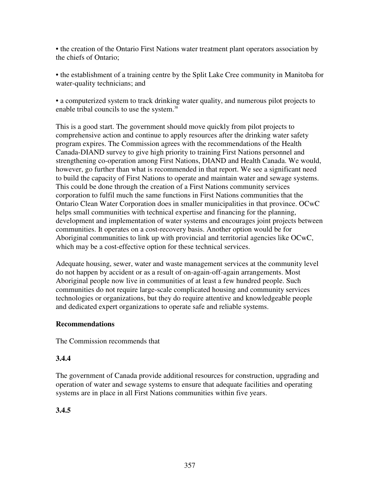• the creation of the Ontario First Nations water treatment plant operators association by the chiefs of Ontario;

• the establishment of a training centre by the Split Lake Cree community in Manitoba for water-quality technicians; and

• a computerized system to track drinking water quality, and numerous pilot projects to enable tribal councils to use the system. 38

This is a good start. The government should move quickly from pilot projects to comprehensive action and continue to apply resources after the drinking water safety program expires. The Commission agrees with the recommendations of the Health Canada-DIAND survey to give high priority to training First Nations personnel and strengthening co-operation among First Nations, DIAND and Health Canada. We would, however, go further than what is recommended in that report. We see a significant need to build the capacity of First Nations to operate and maintain water and sewage systems. This could be done through the creation of a First Nations community services corporation to fulfil much the same functions in First Nations communities that the Ontario Clean Water Corporation does in smaller municipalities in that province. OCwC helps small communities with technical expertise and financing for the planning, development and implementation of water systems and encourages joint projects between communities. It operates on a cost-recovery basis. Another option would be for Aboriginal communities to link up with provincial and territorial agencies like OCwC, which may be a cost-effective option for these technical services.

Adequate housing, sewer, water and waste management services at the community level do not happen by accident or as a result of on-again-off-again arrangements. Most Aboriginal people now live in communities of at least a few hundred people. Such communities do not require large-scale complicated housing and community services technologies or organizations, but they do require attentive and knowledgeable people and dedicated expert organizations to operate safe and reliable systems.

### **Recommendations**

The Commission recommends that

### **3.4.4**

The government of Canada provide additional resources for construction, upgrading and operation of water and sewage systems to ensure that adequate facilities and operating systems are in place in all First Nations communities within five years.

### **3.4.5**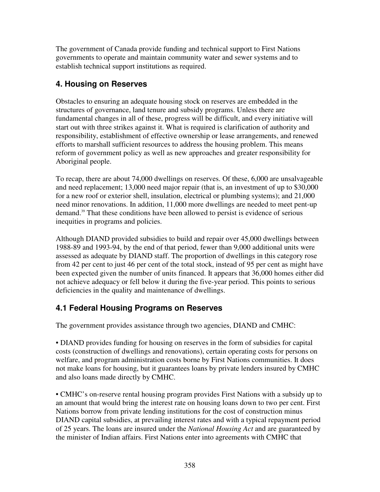The government of Canada provide funding and technical support to First Nations governments to operate and maintain community water and sewer systems and to establish technical support institutions as required.

# **4. Housing on Reserves**

Obstacles to ensuring an adequate housing stock on reserves are embedded in the structures of governance, land tenure and subsidy programs. Unless there are fundamental changes in all of these, progress will be difficult, and every initiative will start out with three strikes against it. What is required is clarification of authority and responsibility, establishment of effective ownership or lease arrangements, and renewed efforts to marshall sufficient resources to address the housing problem. This means reform of government policy as well as new approaches and greater responsibility for Aboriginal people.

To recap, there are about 74,000 dwellings on reserves. Of these, 6,000 are unsalvageable and need replacement; 13,000 need major repair (that is, an investment of up to \$30,000 for a new roof or exterior shell, insulation, electrical or plumbing systems); and 21,000 need minor renovations. In addition, 11,000 more dwellings are needed to meet pent-up demand. <sup>39</sup> That these conditions have been allowed to persist is evidence of serious inequities in programs and policies.

Although DIAND provided subsidies to build and repair over 45,000 dwellings between 1988-89 and 1993-94, by the end of that period, fewer than 9,000 additional units were assessed as adequate by DIAND staff. The proportion of dwellings in this category rose from 42 per cent to just 46 per cent of the total stock, instead of 95 per cent as might have been expected given the number of units financed. It appears that 36,000 homes either did not achieve adequacy or fell below it during the five-year period. This points to serious deficiencies in the quality and maintenance of dwellings.

# **4.1 Federal Housing Programs on Reserves**

The government provides assistance through two agencies, DIAND and CMHC:

• DIAND provides funding for housing on reserves in the form of subsidies for capital costs (construction of dwellings and renovations), certain operating costs for persons on welfare, and program administration costs borne by First Nations communities. It does not make loans for housing, but it guarantees loans by private lenders insured by CMHC and also loans made directly by CMHC.

• CMHC's on-reserve rental housing program provides First Nations with a subsidy up to an amount that would bring the interest rate on housing loans down to two per cent. First Nations borrow from private lending institutions for the cost of construction minus DIAND capital subsidies, at prevailing interest rates and with a typical repayment period of 25 years. The loans are insured under the *National Housing Act* and are guaranteed by the minister of Indian affairs. First Nations enter into agreements with CMHC that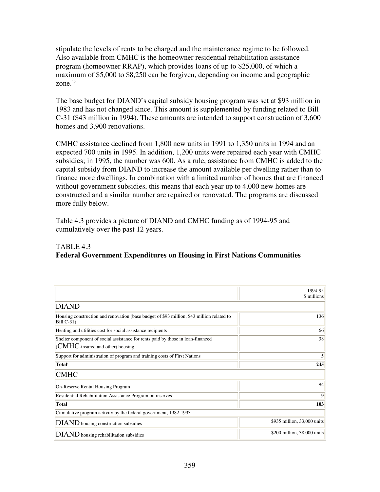stipulate the levels of rents to be charged and the maintenance regime to be followed. Also available from CMHC is the homeowner residential rehabilitation assistance program (homeowner RRAP), which provides loans of up to \$25,000, of which a maximum of \$5,000 to \$8,250 can be forgiven, depending on income and geographic zone. 40

The base budget for DIAND's capital subsidy housing program was set at \$93 million in 1983 and has not changed since. This amount is supplemented by funding related to Bill C-31 (\$43 million in 1994). These amounts are intended to support construction of 3,600 homes and 3,900 renovations.

CMHC assistance declined from 1,800 new units in 1991 to 1,350 units in 1994 and an expected 700 units in 1995. In addition, 1,200 units were repaired each year with CMHC subsidies; in 1995, the number was 600. As a rule, assistance from CMHC is added to the capital subsidy from DIAND to increase the amount available per dwelling rather than to finance more dwellings. In combination with a limited number of homes that are financed without government subsidies, this means that each year up to 4,000 new homes are constructed and a similar number are repaired or renovated. The programs are discussed more fully below.

Table 4.3 provides a picture of DIAND and CMHC funding as of 1994-95 and cumulatively over the past 12 years.

### TABLE 4.3 **Federal Government Expenditures on Housing in First Nations Communities**

|                                                                                                                         | 1994-95<br>\$ millions      |
|-------------------------------------------------------------------------------------------------------------------------|-----------------------------|
| <b>DIAND</b>                                                                                                            |                             |
| Housing construction and renovation (base budget of \$93 million, \$43 million related to<br>Bill C-31)                 | 136                         |
| Heating and utilities cost for social assistance recipients                                                             | 66                          |
| Shelter component of social assistance for rents paid by those in loan-financed<br>$ $ (CMHC-insured and other) housing | 38                          |
| Support for administration of program and training costs of First Nations                                               | 5                           |
| Total <sup>1</sup>                                                                                                      |                             |
| <b>CMHC</b>                                                                                                             |                             |
| On-Reserve Rental Housing Program                                                                                       | 94                          |
| Residential Rehabilitation Assistance Program on reserves                                                               | 9                           |
| <b>Total</b>                                                                                                            | 103                         |
| Cumulative program activity by the federal government, 1982-1993                                                        |                             |
| DIAND housing construction subsidies                                                                                    | \$935 million, 33,000 units |
| DIAND housing rehabilitation subsidies                                                                                  | \$200 million, 38,000 units |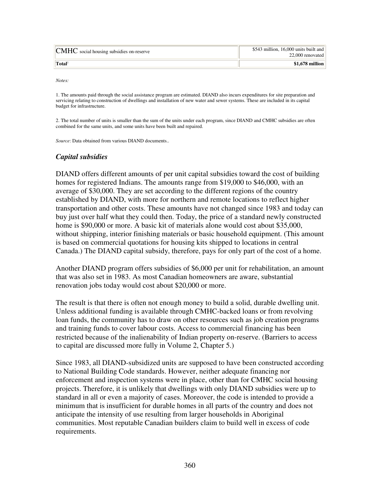| $ $ CMHC social housing subsidies on-reserve | \$543 million, 16,000 units built and<br>22,000 renovated |
|----------------------------------------------|-----------------------------------------------------------|
| $T$ otal <sup>2</sup>                        | $$1,678$ million                                          |

*Notes:*

1. The amounts paid through the social assistance program are estimated. DIAND also incurs expenditures for site preparation and servicing relating to construction of dwellings and installation of new water and sewer systems. These are included in its capital budget for infrastructure.

2. The total number of units is smaller than the sum of the units under each program, since DIAND and CMHC subsidies are often combined for the same units, and some units have been built and repaired.

*Source*: Data obtained from various DIAND documents..

#### *Capital subsidies*

DIAND offers different amounts of per unit capital subsidies toward the cost of building homes for registered Indians. The amounts range from \$19,000 to \$46,000, with an average of \$30,000. They are set according to the different regions of the country established by DIAND, with more for northern and remote locations to reflect higher transportation and other costs. These amounts have not changed since 1983 and today can buy just over half what they could then. Today, the price of a standard newly constructed home is \$90,000 or more. A basic kit of materials alone would cost about \$35,000, without shipping, interior finishing materials or basic household equipment. (This amount is based on commercial quotations for housing kits shipped to locations in central Canada.) The DIAND capital subsidy, therefore, pays for only part of the cost of a home.

Another DIAND program offers subsidies of \$6,000 per unit for rehabilitation, an amount that was also set in 1983. As most Canadian homeowners are aware, substantial renovation jobs today would cost about \$20,000 or more.

The result is that there is often not enough money to build a solid, durable dwelling unit. Unless additional funding is available through CMHC-backed loans or from revolving loan funds, the community has to draw on other resources such as job creation programs and training funds to cover labour costs. Access to commercial financing has been restricted because of the inalienability of Indian property on-reserve. (Barriers to access to capital are discussed more fully in Volume 2, Chapter 5.)

Since 1983, all DIAND-subsidized units are supposed to have been constructed according to National Building Code standards. However, neither adequate financing nor enforcement and inspection systems were in place, other than for CMHC social housing projects. Therefore, it is unlikely that dwellings with only DIAND subsidies were up to standard in all or even a majority of cases. Moreover, the code is intended to provide a minimum that is insufficient for durable homes in all parts of the country and does not anticipate the intensity of use resulting from larger households in Aboriginal communities. Most reputable Canadian builders claim to build well in excess of code requirements.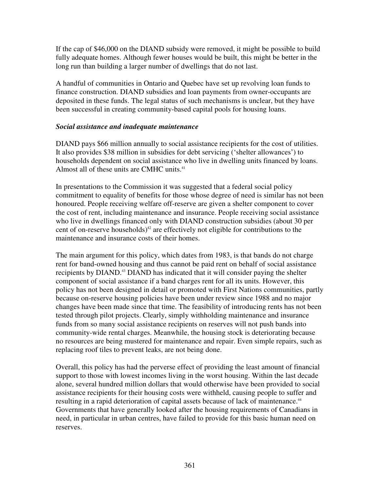If the cap of \$46,000 on the DIAND subsidy were removed, it might be possible to build fully adequate homes. Although fewer houses would be built, this might be better in the long run than building a larger number of dwellings that do not last.

A handful of communities in Ontario and Quebec have set up revolving loan funds to finance construction. DIAND subsidies and loan payments from owner-occupants are deposited in these funds. The legal status of such mechanisms is unclear, but they have been successful in creating community-based capital pools for housing loans.

#### *Social assistance and inadequate maintenance*

DIAND pays \$66 million annually to social assistance recipients for the cost of utilities. It also provides \$38 million in subsidies for debt servicing ('shelter allowances') to households dependent on social assistance who live in dwelling units financed by loans. Almost all of these units are CMHC units. 41

In presentations to the Commission it was suggested that a federal social policy commitment to equality of benefits for those whose degree of need is similar has not been honoured. People receiving welfare off-reserve are given a shelter component to cover the cost of rent, including maintenance and insurance. People receiving social assistance who live in dwellings financed only with DIAND construction subsidies (about 30 per cent of on-reserve households) $42$  are effectively not eligible for contributions to the maintenance and insurance costs of their homes.

The main argument for this policy, which dates from 1983, is that bands do not charge rent for band-owned housing and thus cannot be paid rent on behalf of social assistance recipients by DIAND. <sup>43</sup> DIAND has indicated that it will consider paying the shelter component of social assistance if a band charges rent for all its units. However, this policy has not been designed in detail or promoted with First Nations communities, partly because on-reserve housing policies have been under review since 1988 and no major changes have been made since that time. The feasibility of introducing rents has not been tested through pilot projects. Clearly, simply withholding maintenance and insurance funds from so many social assistance recipients on reserves will not push bands into community-wide rental charges. Meanwhile, the housing stock is deteriorating because no resources are being mustered for maintenance and repair. Even simple repairs, such as replacing roof tiles to prevent leaks, are not being done.

Overall, this policy has had the perverse effect of providing the least amount of financial support to those with lowest incomes living in the worst housing. Within the last decade alone, several hundred million dollars that would otherwise have been provided to social assistance recipients for their housing costs were withheld, causing people to suffer and resulting in a rapid deterioration of capital assets because of lack of maintenance.<sup>44</sup> Governments that have generally looked after the housing requirements of Canadians in need, in particular in urban centres, have failed to provide for this basic human need on reserves.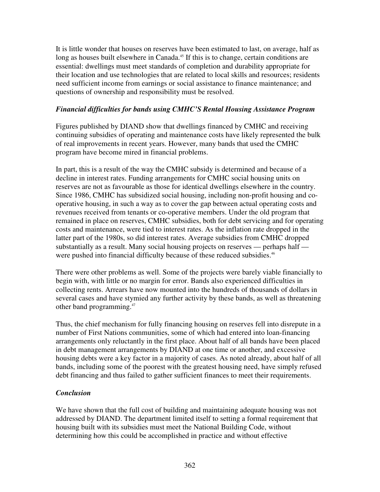It is little wonder that houses on reserves have been estimated to last, on average, half as long as houses built elsewhere in Canada.<sup>45</sup> If this is to change, certain conditions are essential: dwellings must meet standards of completion and durability appropriate for their location and use technologies that are related to local skills and resources; residents need sufficient income from earnings or social assistance to finance maintenance; and questions of ownership and responsibility must be resolved.

### *Financial difficulties for bands using CMHC'S Rental Housing Assistance Program*

Figures published by DIAND show that dwellings financed by CMHC and receiving continuing subsidies of operating and maintenance costs have likely represented the bulk of real improvements in recent years. However, many bands that used the CMHC program have become mired in financial problems.

In part, this is a result of the way the CMHC subsidy is determined and because of a decline in interest rates. Funding arrangements for CMHC social housing units on reserves are not as favourable as those for identical dwellings elsewhere in the country. Since 1986, CMHC has subsidized social housing, including non-profit housing and cooperative housing, in such a way as to cover the gap between actual operating costs and revenues received from tenants or co-operative members. Under the old program that remained in place on reserves, CMHC subsidies, both for debt servicing and for operating costs and maintenance, were tied to interest rates. As the inflation rate dropped in the latter part of the 1980s, so did interest rates. Average subsidies from CMHC dropped substantially as a result. Many social housing projects on reserves — perhaps half were pushed into financial difficulty because of these reduced subsidies.<sup>46</sup>

There were other problems as well. Some of the projects were barely viable financially to begin with, with little or no margin for error. Bands also experienced difficulties in collecting rents. Arrears have now mounted into the hundreds of thousands of dollars in several cases and have stymied any further activity by these bands, as well as threatening other band programming. 47

Thus, the chief mechanism for fully financing housing on reserves fell into disrepute in a number of First Nations communities, some of which had entered into loan-financing arrangements only reluctantly in the first place. About half of all bands have been placed in debt management arrangements by DIAND at one time or another, and excessive housing debts were a key factor in a majority of cases. As noted already, about half of all bands, including some of the poorest with the greatest housing need, have simply refused debt financing and thus failed to gather sufficient finances to meet their requirements.

### *Conclusion*

We have shown that the full cost of building and maintaining adequate housing was not addressed by DIAND. The department limited itself to setting a formal requirement that housing built with its subsidies must meet the National Building Code, without determining how this could be accomplished in practice and without effective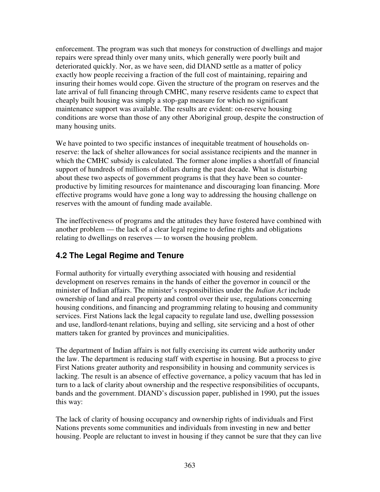enforcement. The program was such that moneys for construction of dwellings and major repairs were spread thinly over many units, which generally were poorly built and deteriorated quickly. Nor, as we have seen, did DIAND settle as a matter of policy exactly how people receiving a fraction of the full cost of maintaining, repairing and insuring their homes would cope. Given the structure of the program on reserves and the late arrival of full financing through CMHC, many reserve residents came to expect that cheaply built housing was simply a stop-gap measure for which no significant maintenance support was available. The results are evident: on-reserve housing conditions are worse than those of any other Aboriginal group, despite the construction of many housing units.

We have pointed to two specific instances of inequitable treatment of households onreserve: the lack of shelter allowances for social assistance recipients and the manner in which the CMHC subsidy is calculated. The former alone implies a shortfall of financial support of hundreds of millions of dollars during the past decade. What is disturbing about these two aspects of government programs is that they have been so counterproductive by limiting resources for maintenance and discouraging loan financing. More effective programs would have gone a long way to addressing the housing challenge on reserves with the amount of funding made available.

The ineffectiveness of programs and the attitudes they have fostered have combined with another problem — the lack of a clear legal regime to define rights and obligations relating to dwellings on reserves — to worsen the housing problem.

# **4.2 The Legal Regime and Tenure**

Formal authority for virtually everything associated with housing and residential development on reserves remains in the hands of either the governor in council or the minister of Indian affairs. The minister's responsibilities under the *Indian Act* include ownership of land and real property and control over their use, regulations concerning housing conditions, and financing and programming relating to housing and community services. First Nations lack the legal capacity to regulate land use, dwelling possession and use, landlord-tenant relations, buying and selling, site servicing and a host of other matters taken for granted by provinces and municipalities.

The department of Indian affairs is not fully exercising its current wide authority under the law. The department is reducing staff with expertise in housing. But a process to give First Nations greater authority and responsibility in housing and community services is lacking. The result is an absence of effective governance, a policy vacuum that has led in turn to a lack of clarity about ownership and the respective responsibilities of occupants, bands and the government. DIAND's discussion paper, published in 1990, put the issues this way:

The lack of clarity of housing occupancy and ownership rights of individuals and First Nations prevents some communities and individuals from investing in new and better housing. People are reluctant to invest in housing if they cannot be sure that they can live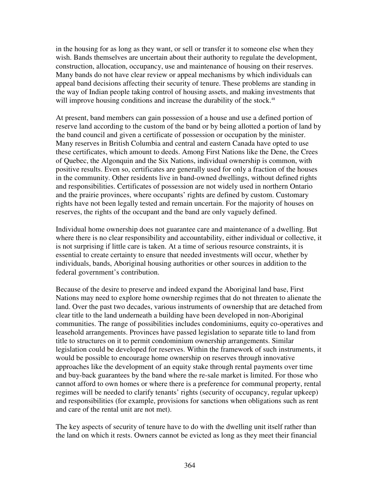in the housing for as long as they want, or sell or transfer it to someone else when they wish. Bands themselves are uncertain about their authority to regulate the development, construction, allocation, occupancy, use and maintenance of housing on their reserves. Many bands do not have clear review or appeal mechanisms by which individuals can appeal band decisions affecting their security of tenure. These problems are standing in the way of Indian people taking control of housing assets, and making investments that will improve housing conditions and increase the durability of the stock.<sup>48</sup>

At present, band members can gain possession of a house and use a defined portion of reserve land according to the custom of the band or by being allotted a portion of land by the band council and given a certificate of possession or occupation by the minister. Many reserves in British Columbia and central and eastern Canada have opted to use these certificates, which amount to deeds. Among First Nations like the Dene, the Crees of Quebec, the Algonquin and the Six Nations, individual ownership is common, with positive results. Even so, certificates are generally used for only a fraction of the houses in the community. Other residents live in band-owned dwellings, without defined rights and responsibilities. Certificates of possession are not widely used in northern Ontario and the prairie provinces, where occupants' rights are defined by custom. Customary rights have not been legally tested and remain uncertain. For the majority of houses on reserves, the rights of the occupant and the band are only vaguely defined.

Individual home ownership does not guarantee care and maintenance of a dwelling. But where there is no clear responsibility and accountability, either individual or collective, it is not surprising if little care is taken. At a time of serious resource constraints, it is essential to create certainty to ensure that needed investments will occur, whether by individuals, bands, Aboriginal housing authorities or other sources in addition to the federal government's contribution.

Because of the desire to preserve and indeed expand the Aboriginal land base, First Nations may need to explore home ownership regimes that do not threaten to alienate the land. Over the past two decades, various instruments of ownership that are detached from clear title to the land underneath a building have been developed in non-Aboriginal communities. The range of possibilities includes condominiums, equity co-operatives and leasehold arrangements. Provinces have passed legislation to separate title to land from title to structures on it to permit condominium ownership arrangements. Similar legislation could be developed for reserves. Within the framework of such instruments, it would be possible to encourage home ownership on reserves through innovative approaches like the development of an equity stake through rental payments over time and buy-back guarantees by the band where the re-sale market is limited. For those who cannot afford to own homes or where there is a preference for communal property, rental regimes will be needed to clarify tenants' rights (security of occupancy, regular upkeep) and responsibilities (for example, provisions for sanctions when obligations such as rent and care of the rental unit are not met).

The key aspects of security of tenure have to do with the dwelling unit itself rather than the land on which it rests. Owners cannot be evicted as long as they meet their financial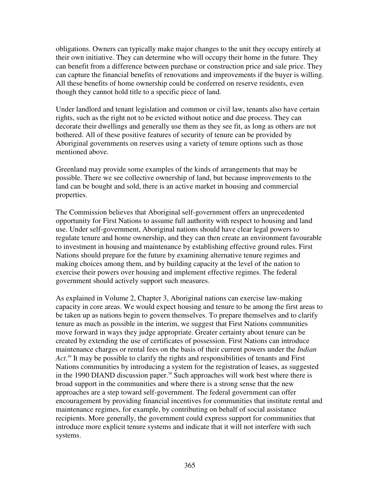obligations. Owners can typically make major changes to the unit they occupy entirely at their own initiative. They can determine who will occupy their home in the future. They can benefit from a difference between purchase or construction price and sale price. They can capture the financial benefits of renovations and improvements if the buyer is willing. All these benefits of home ownership could be conferred on reserve residents, even though they cannot hold title to a specific piece of land.

Under landlord and tenant legislation and common or civil law, tenants also have certain rights, such as the right not to be evicted without notice and due process. They can decorate their dwellings and generally use them as they see fit, as long as others are not bothered. All of these positive features of security of tenure can be provided by Aboriginal governments on reserves using a variety of tenure options such as those mentioned above.

Greenland may provide some examples of the kinds of arrangements that may be possible. There we see collective ownership of land, but because improvements to the land can be bought and sold, there is an active market in housing and commercial properties.

The Commission believes that Aboriginal self-government offers an unprecedented opportunity for First Nations to assume full authority with respect to housing and land use. Under self-government, Aboriginal nations should have clear legal powers to regulate tenure and home ownership, and they can then create an environment favourable to investment in housing and maintenance by establishing effective ground rules. First Nations should prepare for the future by examining alternative tenure regimes and making choices among them, and by building capacity at the level of the nation to exercise their powers over housing and implement effective regimes. The federal government should actively support such measures.

As explained in Volume 2, Chapter 3, Aboriginal nations can exercise law-making capacity in core areas. We would expect housing and tenure to be among the first areas to be taken up as nations begin to govern themselves. To prepare themselves and to clarify tenure as much as possible in the interim, we suggest that First Nations communities move forward in ways they judge appropriate. Greater certainty about tenure can be created by extending the use of certificates of possession. First Nations can introduce maintenance charges or rental fees on the basis of their current powers under the *Indian* Act.<sup>49</sup> It may be possible to clarify the rights and responsibilities of tenants and First Nations communities by introducing a system for the registration of leases, as suggested in the 1990 DIAND discussion paper. <sup>50</sup> Such approaches will work best where there is broad support in the communities and where there is a strong sense that the new approaches are a step toward self-government. The federal government can offer encouragement by providing financial incentives for communities that institute rental and maintenance regimes, for example, by contributing on behalf of social assistance recipients. More generally, the government could express support for communities that introduce more explicit tenure systems and indicate that it will not interfere with such systems.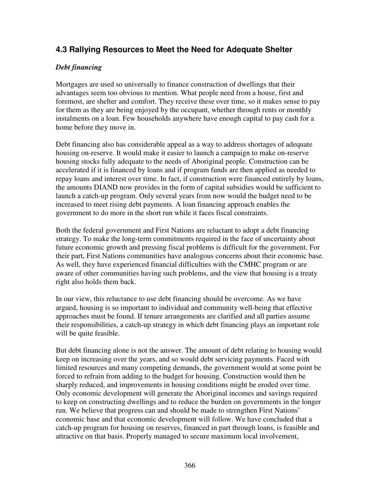### **4.3 Rallying Resources to Meet the Need for Adequate Shelter**

### *Debt financing*

Mortgages are used so universally to finance construction of dwellings that their advantages seem too obvious to mention. What people need from a house, first and foremost, are shelter and comfort. They receive these over time, so it makes sense to pay for them as they are being enjoyed by the occupant, whether through rents or monthly instalments on a loan. Few households anywhere have enough capital to pay cash for a home before they move in.

Debt financing also has considerable appeal as a way to address shortages of adequate housing on-reserve. It would make it easier to launch a campaign to make on-reserve housing stocks fully adequate to the needs of Aboriginal people. Construction can be accelerated if it is financed by loans and if program funds are then applied as needed to repay loans and interest over time. In fact, if construction were financed entirely by loans, the amounts DIAND now provides in the form of capital subsidies would be sufficient to launch a catch-up program. Only several years from now would the budget need to be increased to meet rising debt payments. A loan financing approach enables the government to do more in the short run while it faces fiscal constraints.

Both the federal government and First Nations are reluctant to adopt a debt financing strategy. To make the long-term commitments required in the face of uncertainty about future economic growth and pressing fiscal problems is difficult for the government. For their part, First Nations communities have analogous concerns about their economic base. As well, they have experienced financial difficulties with the CMHC program or are aware of other communities having such problems, and the view that housing is a treaty right also holds them back.

In our view, this reluctance to use debt financing should be overcome. As we have argued, housing is so important to individual and community well-being that effective approaches must be found. If tenure arrangements are clarified and all parties assume their responsibilities, a catch-up strategy in which debt financing plays an important role will be quite feasible.

But debt financing alone is not the answer. The amount of debt relating to housing would keep on increasing over the years, and so would debt servicing payments. Faced with limited resources and many competing demands, the government would at some point be forced to refrain from adding to the budget for housing. Construction would then be sharply reduced, and improvements in housing conditions might be eroded over time. Only economic development will generate the Aboriginal incomes and savings required to keep on constructing dwellings and to reduce the burden on governments in the longer run. We believe that progress can and should be made to strengthen First Nations' economic base and that economic development will follow. We have concluded that a catch-up program for housing on reserves, financed in part through loans, is feasible and attractive on that basis. Properly managed to secure maximum local involvement,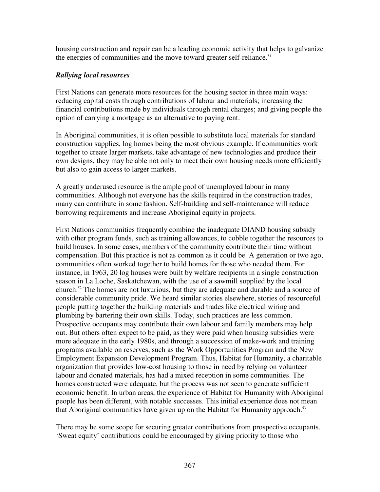housing construction and repair can be a leading economic activity that helps to galvanize the energies of communities and the move toward greater self-reliance.<sup>51</sup>

### *Rallying local resources*

First Nations can generate more resources for the housing sector in three main ways: reducing capital costs through contributions of labour and materials; increasing the financial contributions made by individuals through rental charges; and giving people the option of carrying a mortgage as an alternative to paying rent.

In Aboriginal communities, it is often possible to substitute local materials for standard construction supplies, log homes being the most obvious example. If communities work together to create larger markets, take advantage of new technologies and produce their own designs, they may be able not only to meet their own housing needs more efficiently but also to gain access to larger markets.

A greatly underused resource is the ample pool of unemployed labour in many communities. Although not everyone has the skills required in the construction trades, many can contribute in some fashion. Self-building and self-maintenance will reduce borrowing requirements and increase Aboriginal equity in projects.

First Nations communities frequently combine the inadequate DIAND housing subsidy with other program funds, such as training allowances, to cobble together the resources to build houses. In some cases, members of the community contribute their time without compensation. But this practice is not as common as it could be. A generation or two ago, communities often worked together to build homes for those who needed them. For instance, in 1963, 20 log houses were built by welfare recipients in a single construction season in La Loche, Saskatchewan, with the use of a sawmill supplied by the local church. <sup>52</sup> The homes are not luxurious, but they are adequate and durable and a source of considerable community pride. We heard similar stories elsewhere, stories of resourceful people putting together the building materials and trades like electrical wiring and plumbing by bartering their own skills. Today, such practices are less common. Prospective occupants may contribute their own labour and family members may help out. But others often expect to be paid, as they were paid when housing subsidies were more adequate in the early 1980s, and through a succession of make-work and training programs available on reserves, such as the Work Opportunities Program and the New Employment Expansion Development Program. Thus, Habitat for Humanity, a charitable organization that provides low-cost housing to those in need by relying on volunteer labour and donated materials, has had a mixed reception in some communities. The homes constructed were adequate, but the process was not seen to generate sufficient economic benefit. In urban areas, the experience of Habitat for Humanity with Aboriginal people has been different, with notable successes. This initial experience does not mean that Aboriginal communities have given up on the Habitat for Humanity approach.<sup>53</sup>

There may be some scope for securing greater contributions from prospective occupants. 'Sweat equity' contributions could be encouraged by giving priority to those who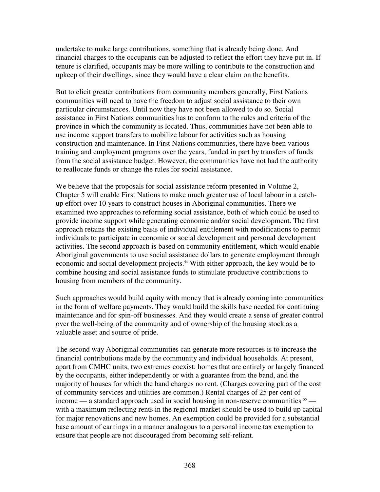undertake to make large contributions, something that is already being done. And financial charges to the occupants can be adjusted to reflect the effort they have put in. If tenure is clarified, occupants may be more willing to contribute to the construction and upkeep of their dwellings, since they would have a clear claim on the benefits.

But to elicit greater contributions from community members generally, First Nations communities will need to have the freedom to adjust social assistance to their own particular circumstances. Until now they have not been allowed to do so. Social assistance in First Nations communities has to conform to the rules and criteria of the province in which the community is located. Thus, communities have not been able to use income support transfers to mobilize labour for activities such as housing construction and maintenance. In First Nations communities, there have been various training and employment programs over the years, funded in part by transfers of funds from the social assistance budget. However, the communities have not had the authority to reallocate funds or change the rules for social assistance.

We believe that the proposals for social assistance reform presented in Volume 2, Chapter 5 will enable First Nations to make much greater use of local labour in a catchup effort over 10 years to construct houses in Aboriginal communities. There we examined two approaches to reforming social assistance, both of which could be used to provide income support while generating economic and/or social development. The first approach retains the existing basis of individual entitlement with modifications to permit individuals to participate in economic or social development and personal development activities. The second approach is based on community entitlement, which would enable Aboriginal governments to use social assistance dollars to generate employment through economic and social development projects. <sup>54</sup> With either approach, the key would be to combine housing and social assistance funds to stimulate productive contributions to housing from members of the community.

Such approaches would build equity with money that is already coming into communities in the form of welfare payments. They would build the skills base needed for continuing maintenance and for spin-off businesses. And they would create a sense of greater control over the well-being of the community and of ownership of the housing stock as a valuable asset and source of pride.

The second way Aboriginal communities can generate more resources is to increase the financial contributions made by the community and individual households. At present, apart from CMHC units, two extremes coexist: homes that are entirely or largely financed by the occupants, either independently or with a guarantee from the band, and the majority of houses for which the band charges no rent. (Charges covering part of the cost of community services and utilities are common.) Rental charges of 25 per cent of income — a standard approach used in social housing in non-reserve communities  $55$  with a maximum reflecting rents in the regional market should be used to build up capital for major renovations and new homes. An exemption could be provided for a substantial base amount of earnings in a manner analogous to a personal income tax exemption to ensure that people are not discouraged from becoming self-reliant.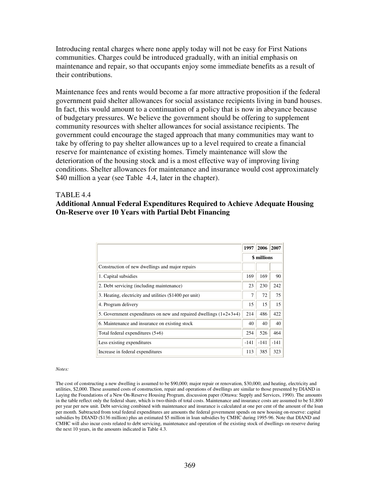Introducing rental charges where none apply today will not be easy for First Nations communities. Charges could be introduced gradually, with an initial emphasis on maintenance and repair, so that occupants enjoy some immediate benefits as a result of their contributions.

Maintenance fees and rents would become a far more attractive proposition if the federal government paid shelter allowances for social assistance recipients living in band houses. In fact, this would amount to a continuation of a policy that is now in abeyance because of budgetary pressures. We believe the government should be offering to supplement community resources with shelter allowances for social assistance recipients. The government could encourage the staged approach that many communities may want to take by offering to pay shelter allowances up to a level required to create a financial reserve for maintenance of existing homes. Timely maintenance will slow the deterioration of the housing stock and is a most effective way of improving living conditions. Shelter allowances for maintenance and insurance would cost approximately \$40 million a year (see Table 4.4, later in the chapter).

#### TABLE 4.4 **Additional Annual Federal Expenditures Required to Achieve Adequate Housing On-Reserve over 10 Years with Partial Debt Financing**

|                                                                      | 1997               | 2006   | 2007   |
|----------------------------------------------------------------------|--------------------|--------|--------|
|                                                                      | <b>\$</b> millions |        |        |
| Construction of new dwellings and major repairs                      |                    |        |        |
| 1. Capital subsidies                                                 | 169                | 169    | 90     |
| 2. Debt servicing (including maintenance)                            | 23                 | 230    | 242    |
| 3. Heating, electricity and utilities (\$1400 per unit)              | 7                  | 72     | 75     |
| 4. Program delivery                                                  | 15                 | 15     | 15     |
| 5. Government expenditures on new and repaired dwellings $(1+2+3+4)$ | 214                | 486    | 422    |
| 6. Maintenance and insurance on existing stock                       | 40                 | 40     | 40     |
| Total federal expenditures $(5+6)$                                   | 254                | 526    | 464    |
| Less existing expenditures                                           | $-141$             | $-141$ | $-141$ |
| Increase in federal expenditures                                     | 113                | 385    | 323    |

*Notes:*

The cost of constructing a new dwelling is assumed to be \$90,000; major repair or renovation, \$30,000; and heating, electricity and utilities, \$2,000. These assumed costs of construction, repair and operations of dwellings are similar to those presented by DIAND in Laying the Foundations of a New On-Reserve Housing Program, discussion paper (Ottawa: Supply and Services, 1990). The amounts in the table reflect only the federal share, which is two-thirds of total costs. Maintenance and insurance costs are assumed to be \$1,800 per year per new unit. Debt servicing combined with maintenance and insurance is calculated at one per cent of the amount of the loan per month. Subtracted from total federal expenditures are amounts the federal government spends on new housing on-reserve: capital subsidies by DIAND (\$136 million) plus an estimated \$5 million in loan subsidies by CMHC during 1995-96. Note that DIAND and CMHC will also incur costs related to debt servicing, maintenance and operation of the existing stock of dwellings on-reserve during the next 10 years, in the amounts indicated in Table 4.3.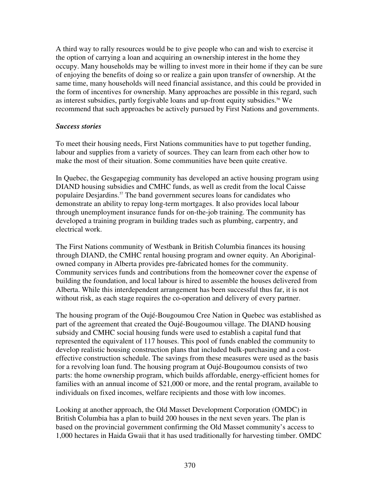A third way to rally resources would be to give people who can and wish to exercise it the option of carrying a loan and acquiring an ownership interest in the home they occupy. Many households may be willing to invest more in their home if they can be sure of enjoying the benefits of doing so or realize a gain upon transfer of ownership. At the same time, many households will need financial assistance, and this could be provided in the form of incentives for ownership. Many approaches are possible in this regard, such as interest subsidies, partly forgivable loans and up-front equity subsidies. <sup>56</sup> We recommend that such approaches be actively pursued by First Nations and governments.

#### *Success stories*

To meet their housing needs, First Nations communities have to put together funding, labour and supplies from a variety of sources. They can learn from each other how to make the most of their situation. Some communities have been quite creative.

In Quebec, the Gesgapegiag community has developed an active housing program using DIAND housing subsidies and CMHC funds, as well as credit from the local Caisse populaire Desjardins. <sup>57</sup> The band government secures loans for candidates who demonstrate an ability to repay long-term mortgages. It also provides local labour through unemployment insurance funds for on-the-job training. The community has developed a training program in building trades such as plumbing, carpentry, and electrical work.

The First Nations community of Westbank in British Columbia finances its housing through DIAND, the CMHC rental housing program and owner equity. An Aboriginalowned company in Alberta provides pre-fabricated homes for the community. Community services funds and contributions from the homeowner cover the expense of building the foundation, and local labour is hired to assemble the houses delivered from Alberta. While this interdependent arrangement has been successful thus far, it is not without risk, as each stage requires the co-operation and delivery of every partner.

The housing program of the Oujé-Bougoumou Cree Nation in Quebec was established as part of the agreement that created the Oujé-Bougoumou village. The DIAND housing subsidy and CMHC social housing funds were used to establish a capital fund that represented the equivalent of 117 houses. This pool of funds enabled the community to develop realistic housing construction plans that included bulk-purchasing and a costeffective construction schedule. The savings from these measures were used as the basis for a revolving loan fund. The housing program at Oujé-Bougoumou consists of two parts: the home ownership program, which builds affordable, energy-efficient homes for families with an annual income of \$21,000 or more, and the rental program, available to individuals on fixed incomes, welfare recipients and those with low incomes.

Looking at another approach, the Old Masset Development Corporation (OMDC) in British Columbia has a plan to build 200 houses in the next seven years. The plan is based on the provincial government confirming the Old Masset community's access to 1,000 hectares in Haida Gwaii that it has used traditionally for harvesting timber. OMDC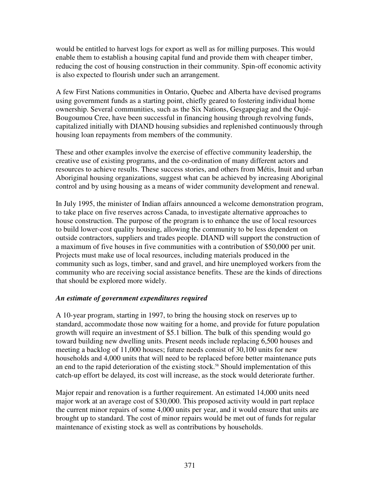would be entitled to harvest logs for export as well as for milling purposes. This would enable them to establish a housing capital fund and provide them with cheaper timber, reducing the cost of housing construction in their community. Spin-off economic activity is also expected to flourish under such an arrangement.

A few First Nations communities in Ontario, Quebec and Alberta have devised programs using government funds as a starting point, chiefly geared to fostering individual home ownership. Several communities, such as the Six Nations, Gesgapegiag and the Oujé-Bougoumou Cree, have been successful in financing housing through revolving funds, capitalized initially with DIAND housing subsidies and replenished continuously through housing loan repayments from members of the community.

These and other examples involve the exercise of effective community leadership, the creative use of existing programs, and the co-ordination of many different actors and resources to achieve results. These success stories, and others from Métis, Inuit and urban Aboriginal housing organizations, suggest what can be achieved by increasing Aboriginal control and by using housing as a means of wider community development and renewal.

In July 1995, the minister of Indian affairs announced a welcome demonstration program, to take place on five reserves across Canada, to investigate alternative approaches to house construction. The purpose of the program is to enhance the use of local resources to build lower-cost quality housing, allowing the community to be less dependent on outside contractors, suppliers and trades people. DIAND will support the construction of a maximum of five houses in five communities with a contribution of \$50,000 per unit. Projects must make use of local resources, including materials produced in the community such as logs, timber, sand and gravel, and hire unemployed workers from the community who are receiving social assistance benefits. These are the kinds of directions that should be explored more widely.

### *An estimate of government expenditures required*

A 10-year program, starting in 1997, to bring the housing stock on reserves up to standard, accommodate those now waiting for a home, and provide for future population growth will require an investment of \$5.1 billion. The bulk of this spending would go toward building new dwelling units. Present needs include replacing 6,500 houses and meeting a backlog of 11,000 houses; future needs consist of 30,100 units for new households and 4,000 units that will need to be replaced before better maintenance puts an end to the rapid deterioration of the existing stock. <sup>58</sup> Should implementation of this catch-up effort be delayed, its cost will increase, as the stock would deteriorate further.

Major repair and renovation is a further requirement. An estimated 14,000 units need major work at an average cost of \$30,000. This proposed activity would in part replace the current minor repairs of some 4,000 units per year, and it would ensure that units are brought up to standard. The cost of minor repairs would be met out of funds for regular maintenance of existing stock as well as contributions by households.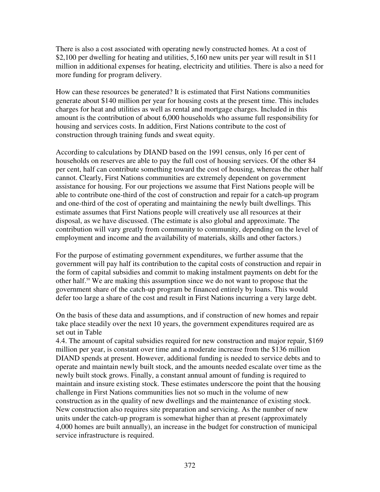There is also a cost associated with operating newly constructed homes. At a cost of \$2,100 per dwelling for heating and utilities, 5,160 new units per year will result in \$11 million in additional expenses for heating, electricity and utilities. There is also a need for more funding for program delivery.

How can these resources be generated? It is estimated that First Nations communities generate about \$140 million per year for housing costs at the present time. This includes charges for heat and utilities as well as rental and mortgage charges. Included in this amount is the contribution of about 6,000 households who assume full responsibility for housing and services costs. In addition, First Nations contribute to the cost of construction through training funds and sweat equity.

According to calculations by DIAND based on the 1991 census, only 16 per cent of households on reserves are able to pay the full cost of housing services. Of the other 84 per cent, half can contribute something toward the cost of housing, whereas the other half cannot. Clearly, First Nations communities are extremely dependent on government assistance for housing. For our projections we assume that First Nations people will be able to contribute one-third of the cost of construction and repair for a catch-up program and one-third of the cost of operating and maintaining the newly built dwellings. This estimate assumes that First Nations people will creatively use all resources at their disposal, as we have discussed. (The estimate is also global and approximate. The contribution will vary greatly from community to community, depending on the level of employment and income and the availability of materials, skills and other factors.)

For the purpose of estimating government expenditures, we further assume that the government will pay half its contribution to the capital costs of construction and repair in the form of capital subsidies and commit to making instalment payments on debt for the other half. <sup>59</sup> We are making this assumption since we do not want to propose that the government share of the catch-up program be financed entirely by loans. This would defer too large a share of the cost and result in First Nations incurring a very large debt.

On the basis of these data and assumptions, and if construction of new homes and repair take place steadily over the next 10 years, the government expenditures required are as set out in Table

4.4. The amount of capital subsidies required for new construction and major repair, \$169 million per year, is constant over time and a moderate increase from the \$136 million DIAND spends at present. However, additional funding is needed to service debts and to operate and maintain newly built stock, and the amounts needed escalate over time as the newly built stock grows. Finally, a constant annual amount of funding is required to maintain and insure existing stock. These estimates underscore the point that the housing challenge in First Nations communities lies not so much in the volume of new construction as in the quality of new dwellings and the maintenance of existing stock. New construction also requires site preparation and servicing. As the number of new units under the catch-up program is somewhat higher than at present (approximately 4,000 homes are built annually), an increase in the budget for construction of municipal service infrastructure is required.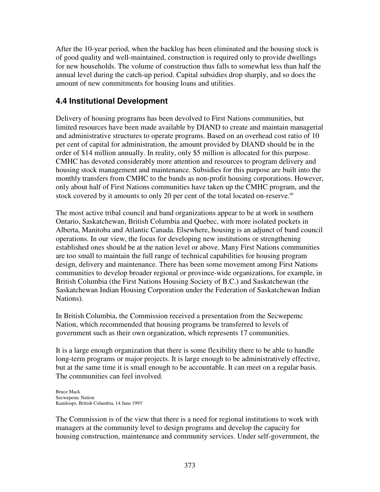After the 10-year period, when the backlog has been eliminated and the housing stock is of good quality and well-maintained, construction is required only to provide dwellings for new households. The volume of construction thus falls to somewhat less than half the annual level during the catch-up period. Capital subsidies drop sharply, and so does the amount of new commitments for housing loans and utilities.

### **4.4 Institutional Development**

Delivery of housing programs has been devolved to First Nations communities, but limited resources have been made available by DIAND to create and maintain managerial and administrative structures to operate programs. Based on an overhead cost ratio of 10 per cent of capital for administration, the amount provided by DIAND should be in the order of \$14 million annually. In reality, only \$5 million is allocated for this purpose. CMHC has devoted considerably more attention and resources to program delivery and housing stock management and maintenance. Subsidies for this purpose are built into the monthly transfers from CMHC to the bands as non-profit housing corporations. However, only about half of First Nations communities have taken up the CMHC program, and the stock covered by it amounts to only 20 per cent of the total located on-reserve.<sup>60</sup>

The most active tribal council and band organizations appear to be at work in southern Ontario, Saskatchewan, British Columbia and Quebec, with more isolated pockets in Alberta, Manitoba and Atlantic Canada. Elsewhere, housing is an adjunct of band council operations. In our view, the focus for developing new institutions or strengthening established ones should be at the nation level or above. Many First Nations communities are too small to maintain the full range of technical capabilities for housing program design, delivery and maintenance. There has been some movement among First Nations communities to develop broader regional or province-wide organizations, for example, in British Columbia (the First Nations Housing Society of B.C.) and Saskatchewan (the Saskatchewan Indian Housing Corporation under the Federation of Saskatchewan Indian Nations).

In British Columbia, the Commission received a presentation from the Secwepemc Nation, which recommended that housing programs be transferred to levels of government such as their own organization, which represents 17 communities.

It is a large enough organization that there is some flexibility there to be able to handle long-term programs or major projects. It is large enough to be administratively effective, but at the same time it is small enough to be accountable. It can meet on a regular basis. The communities can feel involved.

Bruce Mack Secwepemc Nation Kamloops, British Columbia, 14 June 1993 \*

The Commission is of the view that there is a need for regional institutions to work with managers at the community level to design programs and develop the capacity for housing construction, maintenance and community services. Under self-government, the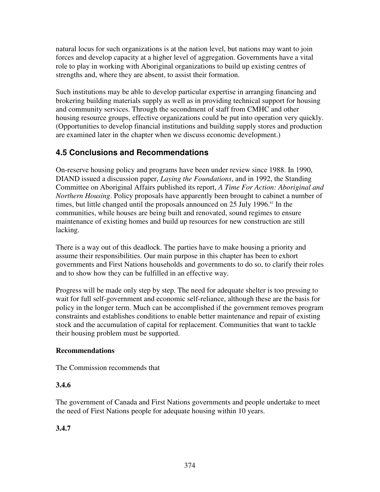natural locus for such organizations is at the nation level, but nations may want to join forces and develop capacity at a higher level of aggregation. Governments have a vital role to play in working with Aboriginal organizations to build up existing centres of strengths and, where they are absent, to assist their formation.

Such institutions may be able to develop particular expertise in arranging financing and brokering building materials supply as well as in providing technical support for housing and community services. Through the secondment of staff from CMHC and other housing resource groups, effective organizations could be put into operation very quickly. (Opportunities to develop financial institutions and building supply stores and production are examined later in the chapter when we discuss economic development.)

### **4.5 Conclusions and Recommendations**

On-reserve housing policy and programs have been under review since 1988. In 1990, DIAND issued a discussion paper, *Laying the Foundations*, and in 1992, the Standing Committee on Aboriginal Affairs published its report, *A Time For Action: Aboriginal and Northern Housing*. Policy proposals have apparently been brought to cabinet a number of times, but little changed until the proposals announced on 25 July 1996.<sup>61</sup> In the communities, while houses are being built and renovated, sound regimes to ensure maintenance of existing homes and build up resources for new construction are still lacking.

There is a way out of this deadlock. The parties have to make housing a priority and assume their responsibilities. Our main purpose in this chapter has been to exhort governments and First Nations households and governments to do so, to clarify their roles and to show how they can be fulfilled in an effective way.

Progress will be made only step by step. The need for adequate shelter is too pressing to wait for full self-government and economic self-reliance, although these are the basis for policy in the longer term. Much can be accomplished if the government removes program constraints and establishes conditions to enable better maintenance and repair of existing stock and the accumulation of capital for replacement. Communities that want to tackle their housing problem must be supported.

### **Recommendations**

The Commission recommends that

### **3.4.6**

The government of Canada and First Nations governments and people undertake to meet the need of First Nations people for adequate housing within 10 years.

### **3.4.7**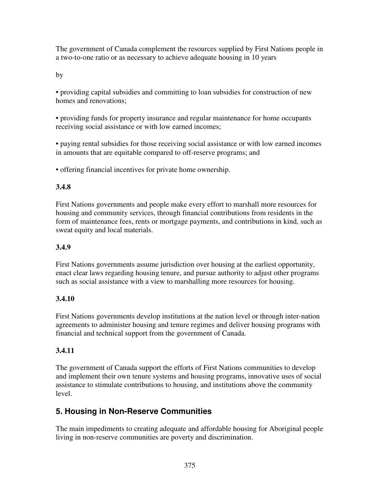The government of Canada complement the resources supplied by First Nations people in a two-to-one ratio or as necessary to achieve adequate housing in 10 years

by

• providing capital subsidies and committing to loan subsidies for construction of new homes and renovations;

• providing funds for property insurance and regular maintenance for home occupants receiving social assistance or with low earned incomes;

• paying rental subsidies for those receiving social assistance or with low earned incomes in amounts that are equitable compared to off-reserve programs; and

• offering financial incentives for private home ownership.

### **3.4.8**

First Nations governments and people make every effort to marshall more resources for housing and community services, through financial contributions from residents in the form of maintenance fees, rents or mortgage payments, and contributions in kind, such as sweat equity and local materials.

### **3.4.9**

First Nations governments assume jurisdiction over housing at the earliest opportunity, enact clear laws regarding housing tenure, and pursue authority to adjust other programs such as social assistance with a view to marshalling more resources for housing.

### **3.4.10**

First Nations governments develop institutions at the nation level or through inter-nation agreements to administer housing and tenure regimes and deliver housing programs with financial and technical support from the government of Canada.

### **3.4.11**

The government of Canada support the efforts of First Nations communities to develop and implement their own tenure systems and housing programs, innovative uses of social assistance to stimulate contributions to housing, and institutions above the community level.

# **5. Housing in Non-Reserve Communities**

The main impediments to creating adequate and affordable housing for Aboriginal people living in non-reserve communities are poverty and discrimination.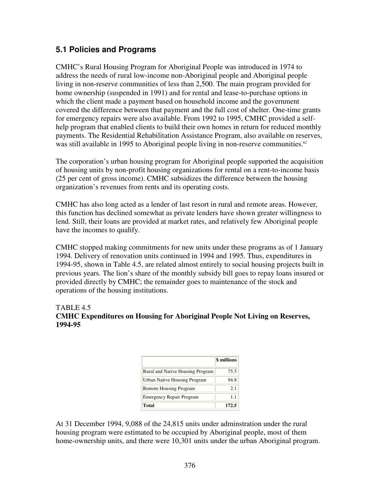### **5.1 Policies and Programs**

CMHC's Rural Housing Program for Aboriginal People was introduced in 1974 to address the needs of rural low-income non-Aboriginal people and Aboriginal people living in non-reserve communities of less than 2,500. The main program provided for home ownership (suspended in 1991) and for rental and lease-to-purchase options in which the client made a payment based on household income and the government covered the difference between that payment and the full cost of shelter. One-time grants for emergency repairs were also available. From 1992 to 1995, CMHC provided a selfhelp program that enabled clients to build their own homes in return for reduced monthly payments. The Residential Rehabilitation Assistance Program, also available on reserves, was still available in 1995 to Aboriginal people living in non-reserve communities.<sup>62</sup>

The corporation's urban housing program for Aboriginal people supported the acquisition of housing units by non-profit housing organizations for rental on a rent-to-income basis (25 per cent of gross income). CMHC subsidizes the difference between the housing organization's revenues from rents and its operating costs.

CMHC has also long acted as a lender of last resort in rural and remote areas. However, this function has declined somewhat as private lenders have shown greater willingness to lend. Still, their loans are provided at market rates, and relatively few Aboriginal people have the incomes to qualify.

CMHC stopped making commitments for new units under these programs as of 1 January 1994. Delivery of renovation units continued in 1994 and 1995. Thus, expenditures in 1994-95, shown in Table 4.5, are related almost entirely to social housing projects built in previous years. The lion's share of the monthly subsidy bill goes to repay loans insured or provided directly by CMHC; the remainder goes to maintenance of the stock and operations of the housing institutions.

#### TABLE 4.5 **CMHC Expenditures on Housing for Aboriginal People Not Living on Reserves, 1994-95**

|                                  | \$ millions |
|----------------------------------|-------------|
| Rural and Native Housing Program | 75.5        |
| Urban Native Housing Program     | 94.8        |
| Remote Housing Program           | 2.1         |
| <b>Emergency Repair Program</b>  | 1.1         |
| Total                            | 172.5       |

At 31 December 1994, 9,088 of the 24,815 units under adminstration under the rural housing program were estimated to be occupied by Aboriginal people, most of them home-ownership units, and there were 10,301 units under the urban Aboriginal program.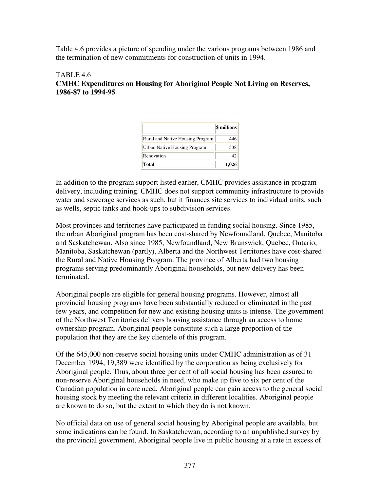Table 4.6 provides a picture of spending under the various programs between 1986 and the termination of new commitments for construction of units in 1994.

#### TABLE 4.6 **CMHC Expenditures on Housing for Aboriginal People Not Living on Reserves, 1986-87 to 1994-95**

|                                  | \$ millions |
|----------------------------------|-------------|
| Rural and Native Housing Program | 446         |
| Urban Native Housing Program     | 538         |
| Renovation                       | 42          |
| Total                            | 1,026       |

In addition to the program support listed earlier, CMHC provides assistance in program delivery, including training. CMHC does not support community infrastructure to provide water and sewerage services as such, but it finances site services to individual units, such as wells, septic tanks and hook-ups to subdivision services.

Most provinces and territories have participated in funding social housing. Since 1985, the urban Aboriginal program has been cost-shared by Newfoundland, Quebec, Manitoba and Saskatchewan. Also since 1985, Newfoundland, New Brunswick, Quebec, Ontario, Manitoba, Saskatchewan (partly), Alberta and the Northwest Territories have cost-shared the Rural and Native Housing Program. The province of Alberta had two housing programs serving predominantly Aboriginal households, but new delivery has been terminated.

Aboriginal people are eligible for general housing programs. However, almost all provincial housing programs have been substantially reduced or eliminated in the past few years, and competition for new and existing housing units is intense. The government of the Northwest Territories delivers housing assistance through an access to home ownership program. Aboriginal people constitute such a large proportion of the population that they are the key clientele of this program.

Of the 645,000 non-reserve social housing units under CMHC administration as of 31 December 1994, 19,389 were identified by the corporation as being exclusively for Aboriginal people. Thus, about three per cent of all social housing has been assured to non-reserve Aboriginal households in need, who make up five to six per cent of the Canadian population in core need. Aboriginal people can gain access to the general social housing stock by meeting the relevant criteria in different localities. Aboriginal people are known to do so, but the extent to which they do is not known.

No official data on use of general social housing by Aboriginal people are available, but some indications can be found. In Saskatchewan, according to an unpublished survey by the provincial government, Aboriginal people live in public housing at a rate in excess of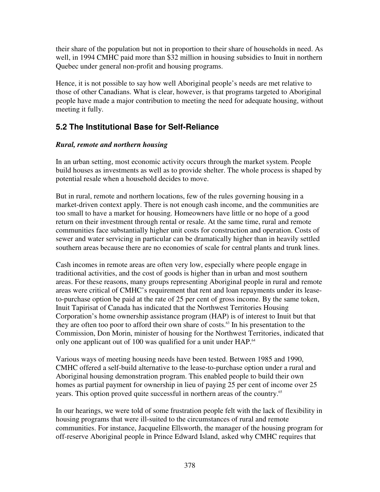their share of the population but not in proportion to their share of households in need. As well, in 1994 CMHC paid more than \$32 million in housing subsidies to Inuit in northern Quebec under general non-profit and housing programs.

Hence, it is not possible to say how well Aboriginal people's needs are met relative to those of other Canadians. What is clear, however, is that programs targeted to Aboriginal people have made a major contribution to meeting the need for adequate housing, without meeting it fully.

# **5.2 The Institutional Base for Self-Reliance**

### *Rural, remote and northern housing*

In an urban setting, most economic activity occurs through the market system. People build houses as investments as well as to provide shelter. The whole process is shaped by potential resale when a household decides to move.

But in rural, remote and northern locations, few of the rules governing housing in a market-driven context apply. There is not enough cash income, and the communities are too small to have a market for housing. Homeowners have little or no hope of a good return on their investment through rental or resale. At the same time, rural and remote communities face substantially higher unit costs for construction and operation. Costs of sewer and water servicing in particular can be dramatically higher than in heavily settled southern areas because there are no economies of scale for central plants and trunk lines.

Cash incomes in remote areas are often very low, especially where people engage in traditional activities, and the cost of goods is higher than in urban and most southern areas. For these reasons, many groups representing Aboriginal people in rural and remote areas were critical of CMHC's requirement that rent and loan repayments under its leaseto-purchase option be paid at the rate of 25 per cent of gross income. By the same token, Inuit Tapirisat of Canada has indicated that the Northwest Territories Housing Corporation's home ownership assistance program (HAP) is of interest to Inuit but that they are often too poor to afford their own share of costs. 63 In his presentation to the Commission, Don Morin, minister of housing for the Northwest Territories, indicated that only one applicant out of 100 was qualified for a unit under HAP.<sup>64</sup>

Various ways of meeting housing needs have been tested. Between 1985 and 1990, CMHC offered a self-build alternative to the lease-to-purchase option under a rural and Aboriginal housing demonstration program. This enabled people to build their own homes as partial payment for ownership in lieu of paying 25 per cent of income over 25 years. This option proved quite successful in northern areas of the country.<sup>65</sup>

In our hearings, we were told of some frustration people felt with the lack of flexibility in housing programs that were ill-suited to the circumstances of rural and remote communities. For instance, Jacqueline Ellsworth, the manager of the housing program for off-reserve Aboriginal people in Prince Edward Island, asked why CMHC requires that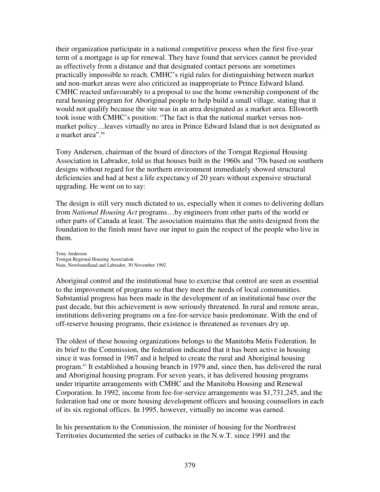their organization participate in a national competitive process when the first five-year term of a mortgage is up for renewal. They have found that services cannot be provided as effectively from a distance and that designated contact persons are sometimes practically impossible to reach. CMHC's rigid rules for distinguishing between market and non-market areas were also criticized as inappropriate to Prince Edward Island. CMHC reacted unfavourably to a proposal to use the home ownership component of the rural housing program for Aboriginal people to help build a small village, stating that it would not qualify because the site was in an area designated as a market area. Ellsworth took issue with CMHC's position: "The fact is that the national market versus nonmarket policy…leaves virtually no area in Prince Edward Island that is not designated as a market area". 66

Tony Andersen, chairman of the board of directors of the Torngat Regional Housing Association in Labrador, told us that houses built in the 1960s and '70s based on southern designs without regard for the northern environment immediately showed structural deficiencies and had at best a life expectancy of 20 years without expensive structural upgrading. He went on to say:

The design is still very much dictated to us, especially when it comes to delivering dollars from *National Housing Act* programs…by engineers from other parts of the world or other parts of Canada at least. The association maintains that the units designed from the foundation to the finish must have our input to gain the respect of the people who live in them.

Tony Anderson Torngat Regional Housing Association Nain, Newfoundland and Labrador, 30 November 1992

Aboriginal control and the institutional base to exercise that control are seen as essential to the improvement of programs so that they meet the needs of local communities. Substantial progress has been made in the development of an institutional base over the past decade, but this achievement is now seriously threatened. In rural and remote areas, institutions delivering programs on a fee-for-service basis predominate. With the end of off-reserve housing programs, their existence is threatened as revenues dry up.

The oldest of these housing organizations belongs to the Manitoba Metis Federation. In its brief to the Commission, the federation indicated that it has been active in housing since it was formed in 1967 and it helped to create the rural and Aboriginal housing program. 67 It established a housing branch in 1979 and, since then, has delivered the rural and Aboriginal housing program. For seven years, it has delivered housing programs under tripartite arrangements with CMHC and the Manitoba Housing and Renewal Corporation. In 1992, income from fee-for-service arrangements was \$1,731,245, and the federation had one or more housing development officers and housing counsellors in each of its six regional offices. In 1995, however, virtually no income was earned.

In his presentation to the Commission, the minister of housing for the Northwest Territories documented the series of cutbacks in the N.w.T. since 1991 and the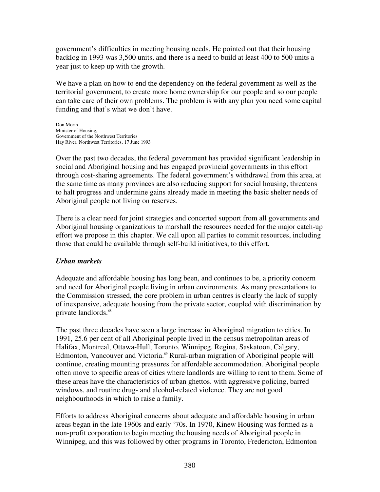government's difficulties in meeting housing needs. He pointed out that their housing backlog in 1993 was 3,500 units, and there is a need to build at least 400 to 500 units a year just to keep up with the growth.

We have a plan on how to end the dependency on the federal government as well as the territorial government, to create more home ownership for our people and so our people can take care of their own problems. The problem is with any plan you need some capital funding and that's what we don't have.

Don Morin Minister of Housing, Government of the Northwest Territories Hay River, Northwest Territories, 17 June 1993

Over the past two decades, the federal government has provided significant leadership in social and Aboriginal housing and has engaged provincial governments in this effort through cost-sharing agreements. The federal government's withdrawal from this area, at the same time as many provinces are also reducing support for social housing, threatens to halt progress and undermine gains already made in meeting the basic shelter needs of Aboriginal people not living on reserves.

There is a clear need for joint strategies and concerted support from all governments and Aboriginal housing organizations to marshall the resources needed for the major catch-up effort we propose in this chapter. We call upon all parties to commit resources, including those that could be available through self-build initiatives, to this effort.

### *Urban markets*

Adequate and affordable housing has long been, and continues to be, a priority concern and need for Aboriginal people living in urban environments. As many presentations to the Commission stressed, the core problem in urban centres is clearly the lack of supply of inexpensive, adequate housing from the private sector, coupled with discrimination by private landlords. 68

The past three decades have seen a large increase in Aboriginal migration to cities. In 1991, 25.6 per cent of all Aboriginal people lived in the census metropolitan areas of Halifax, Montreal, Ottawa-Hull, Toronto, Winnipeg, Regina, Saskatoon, Calgary, Edmonton, Vancouver and Victoria.<sup>69</sup> Rural-urban migration of Aboriginal people will continue, creating mounting pressures for affordable accommodation. Aboriginal people often move to specific areas of cities where landlords are willing to rent to them. Some of these areas have the characteristics of urban ghettos. with aggressive policing, barred windows, and routine drug- and alcohol-related violence. They are not good neighbourhoods in which to raise a family.

Efforts to address Aboriginal concerns about adequate and affordable housing in urban areas began in the late 1960s and early '70s. In 1970, Kinew Housing was formed as a non-profit corporation to begin meeting the housing needs of Aboriginal people in Winnipeg, and this was followed by other programs in Toronto, Fredericton, Edmonton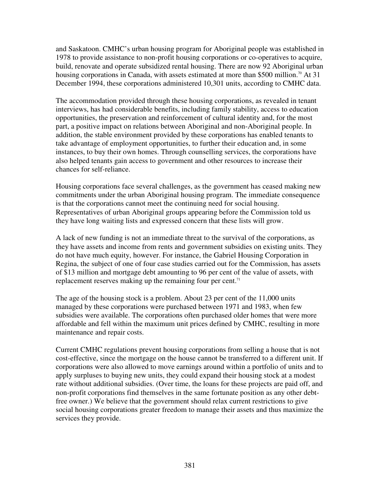and Saskatoon. CMHC's urban housing program for Aboriginal people was established in 1978 to provide assistance to non-profit housing corporations or co-operatives to acquire, build, renovate and operate subsidized rental housing. There are now 92 Aboriginal urban housing corporations in Canada, with assets estimated at more than \$500 million.<sup>70</sup> At 31 December 1994, these corporations administered 10,301 units, according to CMHC data.

The accommodation provided through these housing corporations, as revealed in tenant interviews, has had considerable benefits, including family stability, access to education opportunities, the preservation and reinforcement of cultural identity and, for the most part, a positive impact on relations between Aboriginal and non-Aboriginal people. In addition, the stable environment provided by these corporations has enabled tenants to take advantage of employment opportunities, to further their education and, in some instances, to buy their own homes. Through counselling services, the corporations have also helped tenants gain access to government and other resources to increase their chances for self-reliance.

Housing corporations face several challenges, as the government has ceased making new commitments under the urban Aboriginal housing program. The immediate consequence is that the corporations cannot meet the continuing need for social housing. Representatives of urban Aboriginal groups appearing before the Commission told us they have long waiting lists and expressed concern that these lists will grow.

A lack of new funding is not an immediate threat to the survival of the corporations, as they have assets and income from rents and government subsidies on existing units. They do not have much equity, however. For instance, the Gabriel Housing Corporation in Regina, the subject of one of four case studies carried out for the Commission, has assets of \$13 million and mortgage debt amounting to 96 per cent of the value of assets, with replacement reserves making up the remaining four per cent.<sup>71</sup>

The age of the housing stock is a problem. About 23 per cent of the 11,000 units managed by these corporations were purchased between 1971 and 1983, when few subsidies were available. The corporations often purchased older homes that were more affordable and fell within the maximum unit prices defined by CMHC, resulting in more maintenance and repair costs.

Current CMHC regulations prevent housing corporations from selling a house that is not cost-effective, since the mortgage on the house cannot be transferred to a different unit. If corporations were also allowed to move earnings around within a portfolio of units and to apply surpluses to buying new units, they could expand their housing stock at a modest rate without additional subsidies. (Over time, the loans for these projects are paid off, and non-profit corporations find themselves in the same fortunate position as any other debtfree owner.) We believe that the government should relax current restrictions to give social housing corporations greater freedom to manage their assets and thus maximize the services they provide.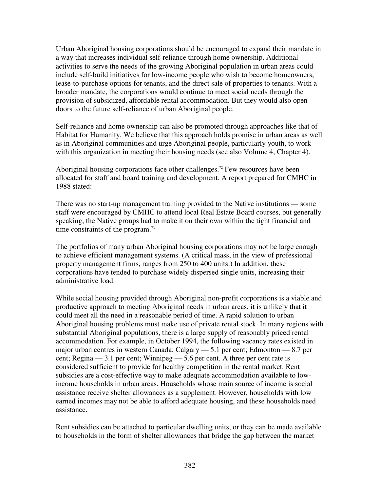Urban Aboriginal housing corporations should be encouraged to expand their mandate in a way that increases individual self-reliance through home ownership. Additional activities to serve the needs of the growing Aboriginal population in urban areas could include self-build initiatives for low-income people who wish to become homeowners, lease-to-purchase options for tenants, and the direct sale of properties to tenants. With a broader mandate, the corporations would continue to meet social needs through the provision of subsidized, affordable rental accommodation. But they would also open doors to the future self-reliance of urban Aboriginal people.

Self-reliance and home ownership can also be promoted through approaches like that of Habitat for Humanity. We believe that this approach holds promise in urban areas as well as in Aboriginal communities and urge Aboriginal people, particularly youth, to work with this organization in meeting their housing needs (see also Volume 4, Chapter 4).

Aboriginal housing corporations face other challenges. <sup>72</sup> Few resources have been allocated for staff and board training and development. A report prepared for CMHC in 1988 stated:

There was no start-up management training provided to the Native institutions — some staff were encouraged by CMHC to attend local Real Estate Board courses, but generally speaking, the Native groups had to make it on their own within the tight financial and time constraints of the program.<sup>73</sup>

The portfolios of many urban Aboriginal housing corporations may not be large enough to achieve efficient management systems. (A critical mass, in the view of professional property management firms, ranges from 250 to 400 units.) In addition, these corporations have tended to purchase widely dispersed single units, increasing their administrative load.

While social housing provided through Aboriginal non-profit corporations is a viable and productive approach to meeting Aboriginal needs in urban areas, it is unlikely that it could meet all the need in a reasonable period of time. A rapid solution to urban Aboriginal housing problems must make use of private rental stock. In many regions with substantial Aboriginal populations, there is a large supply of reasonably priced rental accommodation. For example, in October 1994, the following vacancy rates existed in major urban centres in western Canada: Calgary — 5.1 per cent; Edmonton — 8.7 per cent; Regina — 3.1 per cent; Winnipeg — 5.6 per cent. A three per cent rate is considered sufficient to provide for healthy competition in the rental market. Rent subsidies are a cost-effective way to make adequate accommodation available to lowincome households in urban areas. Households whose main source of income is social assistance receive shelter allowances as a supplement. However, households with low earned incomes may not be able to afford adequate housing, and these households need assistance.

Rent subsidies can be attached to particular dwelling units, or they can be made available to households in the form of shelter allowances that bridge the gap between the market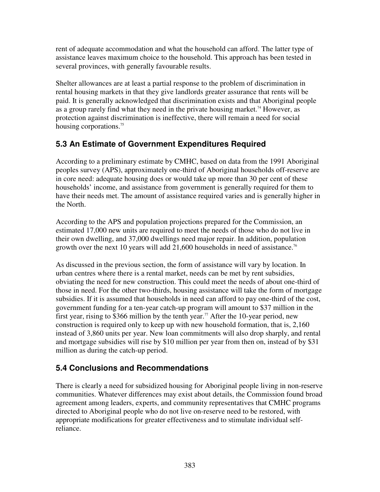rent of adequate accommodation and what the household can afford. The latter type of assistance leaves maximum choice to the household. This approach has been tested in several provinces, with generally favourable results.

Shelter allowances are at least a partial response to the problem of discrimination in rental housing markets in that they give landlords greater assurance that rents will be paid. It is generally acknowledged that discrimination exists and that Aboriginal people as a group rarely find what they need in the private housing market. <sup>74</sup> However, as protection against discrimination is ineffective, there will remain a need for social housing corporations.<sup>75</sup>

# **5.3 An Estimate of Government Expenditures Required**

According to a preliminary estimate by CMHC, based on data from the 1991 Aboriginal peoples survey (APS), approximately one-third of Aboriginal households off-reserve are in core need: adequate housing does or would take up more than 30 per cent of these households' income, and assistance from government is generally required for them to have their needs met. The amount of assistance required varies and is generally higher in the North.

According to the APS and population projections prepared for the Commission, an estimated 17,000 new units are required to meet the needs of those who do not live in their own dwelling, and 37,000 dwellings need major repair. In addition, population growth over the next 10 years will add 21,600 households in need of assistance.<sup>76</sup>

As discussed in the previous section, the form of assistance will vary by location. In urban centres where there is a rental market, needs can be met by rent subsidies, obviating the need for new construction. This could meet the needs of about one-third of those in need. For the other two-thirds, housing assistance will take the form of mortgage subsidies. If it is assumed that households in need can afford to pay one-third of the cost, government funding for a ten-year catch-up program will amount to \$37 million in the first year, rising to \$366 million by the tenth year. <sup>77</sup> After the 10-year period, new construction is required only to keep up with new household formation, that is, 2,160 instead of 3,860 units per year. New loan commitments will also drop sharply, and rental and mortgage subsidies will rise by \$10 million per year from then on, instead of by \$31 million as during the catch-up period.

# **5.4 Conclusions and Recommendations**

There is clearly a need for subsidized housing for Aboriginal people living in non-reserve communities. Whatever differences may exist about details, the Commission found broad agreement among leaders, experts, and community representatives that CMHC programs directed to Aboriginal people who do not live on-reserve need to be restored, with appropriate modifications for greater effectiveness and to stimulate individual selfreliance.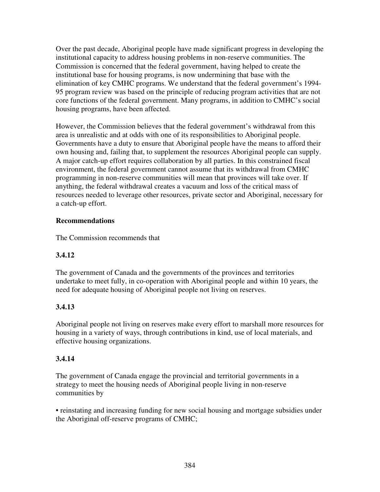Over the past decade, Aboriginal people have made significant progress in developing the institutional capacity to address housing problems in non-reserve communities. The Commission is concerned that the federal government, having helped to create the institutional base for housing programs, is now undermining that base with the elimination of key CMHC programs. We understand that the federal government's 1994- 95 program review was based on the principle of reducing program activities that are not core functions of the federal government. Many programs, in addition to CMHC's social housing programs, have been affected.

However, the Commission believes that the federal government's withdrawal from this area is unrealistic and at odds with one of its responsibilities to Aboriginal people. Governments have a duty to ensure that Aboriginal people have the means to afford their own housing and, failing that, to supplement the resources Aboriginal people can supply. A major catch-up effort requires collaboration by all parties. In this constrained fiscal environment, the federal government cannot assume that its withdrawal from CMHC programming in non-reserve communities will mean that provinces will take over. If anything, the federal withdrawal creates a vacuum and loss of the critical mass of resources needed to leverage other resources, private sector and Aboriginal, necessary for a catch-up effort.

### **Recommendations**

The Commission recommends that

### **3.4.12**

The government of Canada and the governments of the provinces and territories undertake to meet fully, in co-operation with Aboriginal people and within 10 years, the need for adequate housing of Aboriginal people not living on reserves.

### **3.4.13**

Aboriginal people not living on reserves make every effort to marshall more resources for housing in a variety of ways, through contributions in kind, use of local materials, and effective housing organizations.

### **3.4.14**

The government of Canada engage the provincial and territorial governments in a strategy to meet the housing needs of Aboriginal people living in non-reserve communities by

• reinstating and increasing funding for new social housing and mortgage subsidies under the Aboriginal off-reserve programs of CMHC;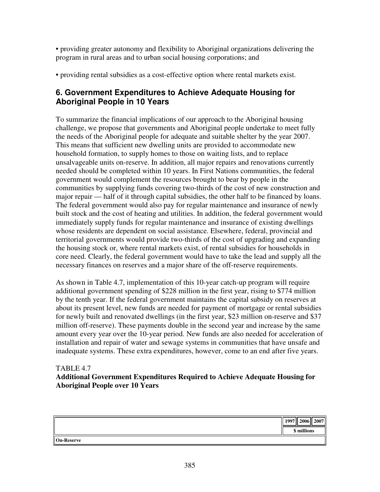• providing greater autonomy and flexibility to Aboriginal organizations delivering the program in rural areas and to urban social housing corporations; and

• providing rental subsidies as a cost-effective option where rental markets exist.

### **6. Government Expenditures to Achieve Adequate Housing for Aboriginal People in 10 Years**

To summarize the financial implications of our approach to the Aboriginal housing challenge, we propose that governments and Aboriginal people undertake to meet fully the needs of the Aboriginal people for adequate and suitable shelter by the year 2007. This means that sufficient new dwelling units are provided to accommodate new household formation, to supply homes to those on waiting lists, and to replace unsalvageable units on-reserve. In addition, all major repairs and renovations currently needed should be completed within 10 years. In First Nations communities, the federal government would complement the resources brought to bear by people in the communities by supplying funds covering two-thirds of the cost of new construction and major repair — half of it through capital subsidies, the other half to be financed by loans. The federal government would also pay for regular maintenance and insurance of newly built stock and the cost of heating and utilities. In addition, the federal government would immediately supply funds for regular maintenance and insurance of existing dwellings whose residents are dependent on social assistance. Elsewhere, federal, provincial and territorial governments would provide two-thirds of the cost of upgrading and expanding the housing stock or, where rental markets exist, of rental subsidies for households in core need. Clearly, the federal government would have to take the lead and supply all the necessary finances on reserves and a major share of the off-reserve requirements.

As shown in Table 4.7, implementation of this 10-year catch-up program will require additional government spending of \$228 million in the first year, rising to \$774 million by the tenth year. If the federal government maintains the capital subsidy on reserves at about its present level, new funds are needed for payment of mortgage or rental subsidies for newly built and renovated dwellings (in the first year, \$23 million on-reserve and \$37 million off-reserve). These payments double in the second year and increase by the same amount every year over the 10-year period. New funds are also needed for acceleration of installation and repair of water and sewage systems in communities that have unsafe and inadequate systems. These extra expenditures, however, come to an end after five years.

### TABLE 4.7

### **Additional Government Expenditures Required to Achieve Adequate Housing for Aboriginal People over 10 Years**

|                   | $\  1997 \  2006 \  2007$<br>\$ millions |  |
|-------------------|------------------------------------------|--|
| <b>On-Reserve</b> |                                          |  |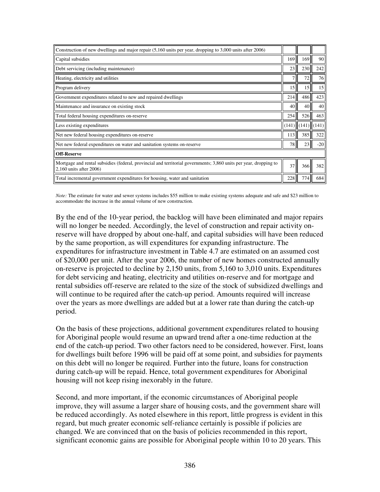| Construction of new dwellings and major repair (5,160 units per year, dropping to 3,000 units after 2006)                                      |                 |                         |       |  |  |
|------------------------------------------------------------------------------------------------------------------------------------------------|-----------------|-------------------------|-------|--|--|
| Capital subsidies                                                                                                                              | 169             | 169                     | 90    |  |  |
| Debt servicing (including maintenance)                                                                                                         | 23              | 230                     | 242   |  |  |
| Heating, electricity and utilities                                                                                                             | 7 <sup>1</sup>  | 72                      | 76    |  |  |
| Program delivery                                                                                                                               | 15              | 15                      | 15    |  |  |
| Government expenditures related to new and repaired dwellings                                                                                  | 214             | 486                     | 423   |  |  |
| Maintenance and insurance on existing stock                                                                                                    | 40              | 40                      | 40    |  |  |
| Total federal housing expenditures on-reserve                                                                                                  | 254             | 526II                   | 463   |  |  |
| Less existing expenditures                                                                                                                     |                 | $(141)$ $(141)$ $(141)$ |       |  |  |
| Net new federal housing expenditures on-reserve                                                                                                | 113             | 385                     | 322   |  |  |
| Net new federal expenditures on water and sanitation systems on-reserve                                                                        | 78              | 23                      | $-20$ |  |  |
| <b>Off-Reserve</b>                                                                                                                             |                 |                         |       |  |  |
| Mortgage and rental subsidies (federal, provincial and territorial governments; 3,860 units per year, dropping to<br>$2,160$ units after 2006) | 37 <sup>1</sup> | 366                     | 382   |  |  |
| Total incremental government expenditures for housing, water and sanitation                                                                    | 228             | 774                     | 684   |  |  |

*Note:* The estimate for water and sewer systems includes \$55 million to make existing systems adequate and safe and \$23 million to accommodate the increase in the annual volume of new construction.

By the end of the 10-year period, the backlog will have been eliminated and major repairs will no longer be needed. Accordingly, the level of construction and repair activity onreserve will have dropped by about one-half, and capital subsidies will have been reduced by the same proportion, as will expenditures for expanding infrastructure. The expenditures for infrastructure investment in Table 4.7 are estimated on an assumed cost of \$20,000 per unit. After the year 2006, the number of new homes constructed annually on-reserve is projected to decline by 2,150 units, from 5,160 to 3,010 units. Expenditures for debt servicing and heating, electricity and utilities on-reserve and for mortgage and rental subsidies off-reserve are related to the size of the stock of subsidized dwellings and will continue to be required after the catch-up period. Amounts required will increase over the years as more dwellings are added but at a lower rate than during the catch-up period.

On the basis of these projections, additional government expenditures related to housing for Aboriginal people would resume an upward trend after a one-time reduction at the end of the catch-up period. Two other factors need to be considered, however. First, loans for dwellings built before 1996 will be paid off at some point, and subsidies for payments on this debt will no longer be required. Further into the future, loans for construction during catch-up will be repaid. Hence, total government expenditures for Aboriginal housing will not keep rising inexorably in the future.

Second, and more important, if the economic circumstances of Aboriginal people improve, they will assume a larger share of housing costs, and the government share will be reduced accordingly. As noted elsewhere in this report, little progress is evident in this regard, but much greater economic self-reliance certainly is possible if policies are changed. We are convinced that on the basis of policies recommended in this report, significant economic gains are possible for Aboriginal people within 10 to 20 years. This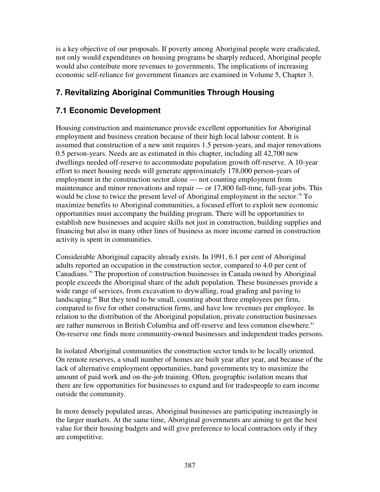is a key objective of our proposals. If poverty among Aboriginal people were eradicated, not only would expenditures on housing programs be sharply reduced, Aboriginal people would also contribute more revenues to governments. The implications of increasing economic self-reliance for government finances are examined in Volume 5, Chapter 3.

# **7. Revitalizing Aboriginal Communities Through Housing**

# **7.1 Economic Development**

Housing construction and maintenance provide excellent opportunities for Aboriginal employment and business creation because of their high local labour content. It is assumed that construction of a new unit requires 1.5 person-years, and major renovations 0.5 person-years. Needs are as estimated in this chapter, including all 42,700 new dwellings needed off-reserve to accommodate population growth off-reserve. A 10-year effort to meet housing needs will generate approximately 178,000 person-years of employment in the construction sector alone — not counting employment from maintenance and minor renovations and repair — or 17,800 full-time, full-year jobs. This would be close to twice the present level of Aboriginal employment in the sector.<sup>78</sup> To maximize benefits to Aboriginal communities, a focused effort to exploit new economic opportunities must accompany the building program. There will be opportunities to establish new businesses and acquire skills not just in construction, building supplies and financing but also in many other lines of business as more income earned in construction activity is spent in communities.

Considerable Aboriginal capacity already exists. In 1991, 6.1 per cent of Aboriginal adults reported an occupation in the construction sector, compared to 4.0 per cent of Canadians. <sup>79</sup> The proportion of construction businesses in Canada owned by Aboriginal people exceeds the Aboriginal share of the adult population. These businesses provide a wide range of services, from excavation to drywalling, road grading and paving to landscaping.<sup>80</sup> But they tend to be small, counting about three employees per firm, compared to five for other construction firms, and have low revenues per employee. In relation to the distribution of the Aboriginal population, private construction businesses are rather numerous in British Columbia and off-reserve and less common elsewhere.<sup>81</sup> On-reserve one finds more community-owned businesses and independent trades persons.

In isolated Aboriginal communities the construction sector tends to be locally oriented. On remote reserves, a small number of homes are built year after year, and because of the lack of alternative employment opportunities, band governments try to maximize the amount of paid work and on-the-job training. Often, geographic isolation means that there are few opportunities for businesses to expand and for tradespeople to earn income outside the community.

In more densely populated areas, Aboriginal businesses are participating increasingly in the larger markets. At the same time, Aboriginal governments are aiming to get the best value for their housing budgets and will give preference to local contractors only if they are competitive.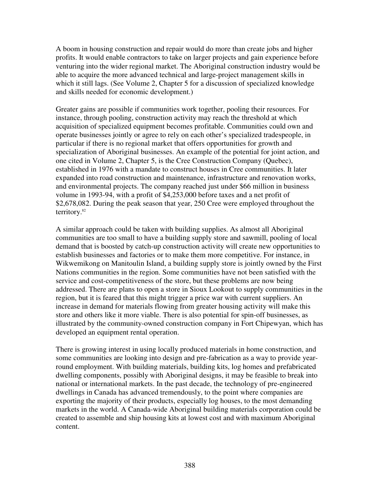A boom in housing construction and repair would do more than create jobs and higher profits. It would enable contractors to take on larger projects and gain experience before venturing into the wider regional market. The Aboriginal construction industry would be able to acquire the more advanced technical and large-project management skills in which it still lags. (See Volume 2, Chapter 5 for a discussion of specialized knowledge and skills needed for economic development.)

Greater gains are possible if communities work together, pooling their resources. For instance, through pooling, construction activity may reach the threshold at which acquisition of specialized equipment becomes profitable. Communities could own and operate businesses jointly or agree to rely on each other's specialized tradespeople, in particular if there is no regional market that offers opportunities for growth and specialization of Aboriginal businesses. An example of the potential for joint action, and one cited in Volume 2, Chapter 5, is the Cree Construction Company (Quebec), established in 1976 with a mandate to construct houses in Cree communities. It later expanded into road construction and maintenance, infrastructure and renovation works, and environmental projects. The company reached just under \$66 million in business volume in 1993-94, with a profit of \$4,253,000 before taxes and a net profit of \$2,678,082. During the peak season that year, 250 Cree were employed throughout the territory. 82

A similar approach could be taken with building supplies. As almost all Aboriginal communities are too small to have a building supply store and sawmill, pooling of local demand that is boosted by catch-up construction activity will create new opportunities to establish businesses and factories or to make them more competitive. For instance, in Wikwemikong on Manitoulin Island, a building supply store is jointly owned by the First Nations communities in the region. Some communities have not been satisfied with the service and cost-competitiveness of the store, but these problems are now being addressed. There are plans to open a store in Sioux Lookout to supply communities in the region, but it is feared that this might trigger a price war with current suppliers. An increase in demand for materials flowing from greater housing activity will make this store and others like it more viable. There is also potential for spin-off businesses, as illustrated by the community-owned construction company in Fort Chipewyan, which has developed an equipment rental operation.

There is growing interest in using locally produced materials in home construction, and some communities are looking into design and pre-fabrication as a way to provide yearround employment. With building materials, building kits, log homes and prefabricated dwelling components, possibly with Aboriginal designs, it may be feasible to break into national or international markets. In the past decade, the technology of pre-engineered dwellings in Canada has advanced tremendously, to the point where companies are exporting the majority of their products, especially log houses, to the most demanding markets in the world. A Canada-wide Aboriginal building materials corporation could be created to assemble and ship housing kits at lowest cost and with maximum Aboriginal content.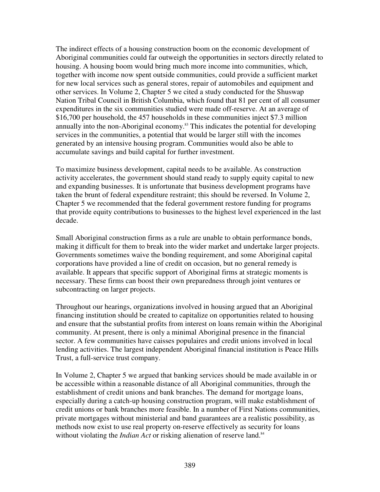The indirect effects of a housing construction boom on the economic development of Aboriginal communities could far outweigh the opportunities in sectors directly related to housing. A housing boom would bring much more income into communities, which, together with income now spent outside communities, could provide a sufficient market for new local services such as general stores, repair of automobiles and equipment and other services. In Volume 2, Chapter 5 we cited a study conducted for the Shuswap Nation Tribal Council in British Columbia, which found that 81 per cent of all consumer expenditures in the six communities studied were made off-reserve. At an average of \$16,700 per household, the 457 households in these communities inject \$7.3 million annually into the non-Aboriginal economy. <sup>83</sup> This indicates the potential for developing services in the communities, a potential that would be larger still with the incomes generated by an intensive housing program. Communities would also be able to accumulate savings and build capital for further investment.

To maximize business development, capital needs to be available. As construction activity accelerates, the government should stand ready to supply equity capital to new and expanding businesses. It is unfortunate that business development programs have taken the brunt of federal expenditure restraint; this should be reversed. In Volume 2, Chapter 5 we recommended that the federal government restore funding for programs that provide equity contributions to businesses to the highest level experienced in the last decade.

Small Aboriginal construction firms as a rule are unable to obtain performance bonds, making it difficult for them to break into the wider market and undertake larger projects. Governments sometimes waive the bonding requirement, and some Aboriginal capital corporations have provided a line of credit on occasion, but no general remedy is available. It appears that specific support of Aboriginal firms at strategic moments is necessary. These firms can boost their own preparedness through joint ventures or subcontracting on larger projects.

Throughout our hearings, organizations involved in housing argued that an Aboriginal financing institution should be created to capitalize on opportunities related to housing and ensure that the substantial profits from interest on loans remain within the Aboriginal community. At present, there is only a minimal Aboriginal presence in the financial sector. A few communities have caisses populaires and credit unions involved in local lending activities. The largest independent Aboriginal financial institution is Peace Hills Trust, a full-service trust company.

In Volume 2, Chapter 5 we argued that banking services should be made available in or be accessible within a reasonable distance of all Aboriginal communities, through the establishment of credit unions and bank branches. The demand for mortgage loans, especially during a catch-up housing construction program, will make establishment of credit unions or bank branches more feasible. In a number of First Nations communities, private mortgages without ministerial and band guarantees are a realistic possibility, as methods now exist to use real property on-reserve effectively as security for loans without violating the *Indian Act* or risking alienation of reserve land.<sup>84</sup>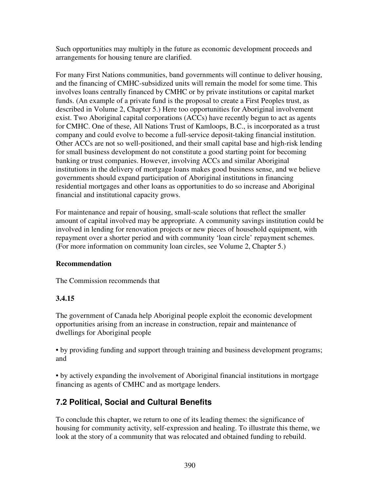Such opportunities may multiply in the future as economic development proceeds and arrangements for housing tenure are clarified.

For many First Nations communities, band governments will continue to deliver housing, and the financing of CMHC-subsidized units will remain the model for some time. This involves loans centrally financed by CMHC or by private institutions or capital market funds. (An example of a private fund is the proposal to create a First Peoples trust, as described in Volume 2, Chapter 5.) Here too opportunities for Aboriginal involvement exist. Two Aboriginal capital corporations (ACCs) have recently begun to act as agents for CMHC. One of these, All Nations Trust of Kamloops, B.C., is incorporated as a trust company and could evolve to become a full-service deposit-taking financial institution. Other ACCs are not so well-positioned, and their small capital base and high-risk lending for small business development do not constitute a good starting point for becoming banking or trust companies. However, involving ACCs and similar Aboriginal institutions in the delivery of mortgage loans makes good business sense, and we believe governments should expand participation of Aboriginal institutions in financing residential mortgages and other loans as opportunities to do so increase and Aboriginal financial and institutional capacity grows.

For maintenance and repair of housing, small-scale solutions that reflect the smaller amount of capital involved may be appropriate. A community savings institution could be involved in lending for renovation projects or new pieces of household equipment, with repayment over a shorter period and with community 'loan circle' repayment schemes. (For more information on community loan circles, see Volume 2, Chapter 5.)

### **Recommendation**

The Commission recommends that

### **3.4.15**

The government of Canada help Aboriginal people exploit the economic development opportunities arising from an increase in construction, repair and maintenance of dwellings for Aboriginal people

• by providing funding and support through training and business development programs; and

• by actively expanding the involvement of Aboriginal financial institutions in mortgage financing as agents of CMHC and as mortgage lenders.

# **7.2 Political, Social and Cultural Benefits**

To conclude this chapter, we return to one of its leading themes: the significance of housing for community activity, self-expression and healing. To illustrate this theme, we look at the story of a community that was relocated and obtained funding to rebuild.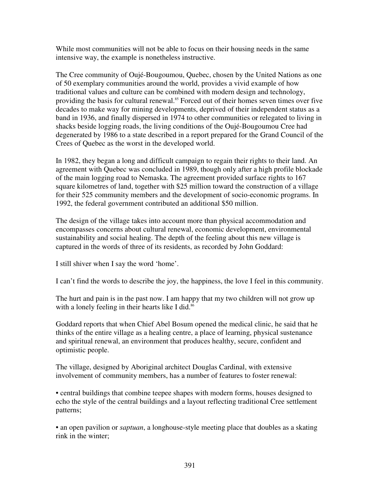While most communities will not be able to focus on their housing needs in the same intensive way, the example is nonetheless instructive.

The Cree community of Oujé-Bougoumou, Quebec, chosen by the United Nations as one of 50 exemplary communities around the world, provides a vivid example of how traditional values and culture can be combined with modern design and technology, providing the basis for cultural renewal. <sup>85</sup> Forced out of their homes seven times over five decades to make way for mining developments, deprived of their independent status as a band in 1936, and finally dispersed in 1974 to other communities or relegated to living in shacks beside logging roads, the living conditions of the Oujé-Bougoumou Cree had degenerated by 1986 to a state described in a report prepared for the Grand Council of the Crees of Quebec as the worst in the developed world.

In 1982, they began a long and difficult campaign to regain their rights to their land. An agreement with Quebec was concluded in 1989, though only after a high profile blockade of the main logging road to Nemaska. The agreement provided surface rights to 167 square kilometres of land, together with \$25 million toward the construction of a village for their 525 community members and the development of socio-economic programs. In 1992, the federal government contributed an additional \$50 million.

The design of the village takes into account more than physical accommodation and encompasses concerns about cultural renewal, economic development, environmental sustainability and social healing. The depth of the feeling about this new village is captured in the words of three of its residents, as recorded by John Goddard:

I still shiver when I say the word 'home'.

I can't find the words to describe the joy, the happiness, the love I feel in this community.

The hurt and pain is in the past now. I am happy that my two children will not grow up with a lonely feeling in their hearts like I did.<sup>86</sup>

Goddard reports that when Chief Abel Bosum opened the medical clinic, he said that he thinks of the entire village as a healing centre, a place of learning, physical sustenance and spiritual renewal, an environment that produces healthy, secure, confident and optimistic people.

The village, designed by Aboriginal architect Douglas Cardinal, with extensive involvement of community members, has a number of features to foster renewal:

• central buildings that combine teepee shapes with modern forms, houses designed to echo the style of the central buildings and a layout reflecting traditional Cree settlement patterns;

• an open pavilion or *saptuan*, a longhouse-style meeting place that doubles as a skating rink in the winter;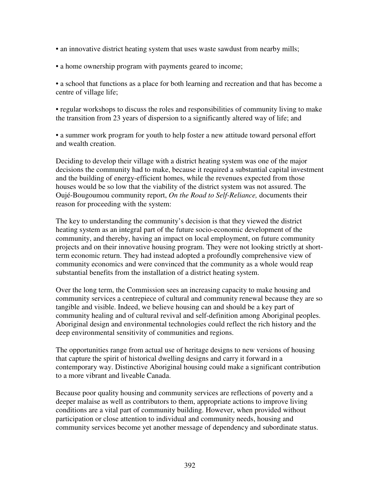- an innovative district heating system that uses waste sawdust from nearby mills;
- a home ownership program with payments geared to income;

• a school that functions as a place for both learning and recreation and that has become a centre of village life;

• regular workshops to discuss the roles and responsibilities of community living to make the transition from 23 years of dispersion to a significantly altered way of life; and

• a summer work program for youth to help foster a new attitude toward personal effort and wealth creation.

Deciding to develop their village with a district heating system was one of the major decisions the community had to make, because it required a substantial capital investment and the building of energy-efficient homes, while the revenues expected from those houses would be so low that the viability of the district system was not assured. The Oujé-Bougoumou community report, *On the Road to Self-Reliance,* documents their reason for proceeding with the system:

The key to understanding the community's decision is that they viewed the district heating system as an integral part of the future socio-economic development of the community, and thereby, having an impact on local employment, on future community projects and on their innovative housing program. They were not looking strictly at shortterm economic return. They had instead adopted a profoundly comprehensive view of community economics and were convinced that the community as a whole would reap substantial benefits from the installation of a district heating system.

Over the long term, the Commission sees an increasing capacity to make housing and community services a centrepiece of cultural and community renewal because they are so tangible and visible. Indeed, we believe housing can and should be a key part of community healing and of cultural revival and self-definition among Aboriginal peoples. Aboriginal design and environmental technologies could reflect the rich history and the deep environmental sensitivity of communities and regions.

The opportunities range from actual use of heritage designs to new versions of housing that capture the spirit of historical dwelling designs and carry it forward in a contemporary way. Distinctive Aboriginal housing could make a significant contribution to a more vibrant and liveable Canada.

Because poor quality housing and community services are reflections of poverty and a deeper malaise as well as contributors to them, appropriate actions to improve living conditions are a vital part of community building. However, when provided without participation or close attention to individual and community needs, housing and community services become yet another message of dependency and subordinate status.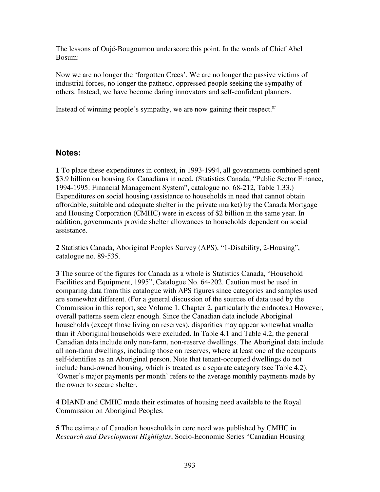The lessons of Oujé-Bougoumou underscore this point. In the words of Chief Abel Bosum:

Now we are no longer the 'forgotten Crees'. We are no longer the passive victims of industrial forces, no longer the pathetic, oppressed people seeking the sympathy of others. Instead, we have become daring innovators and self-confident planners.

Instead of winning people's sympathy, we are now gaining their respect.<sup>87</sup>

### **Notes:**

**1** To place these expenditures in context, in 1993-1994, all governments combined spent \$3.9 billion on housing for Canadians in need. (Statistics Canada, "Public Sector Finance, 1994-1995: Financial Management System", catalogue no. 68-212, Table 1.33.) Expenditures on social housing (assistance to households in need that cannot obtain affordable, suitable and adequate shelter in the private market) by the Canada Mortgage and Housing Corporation (CMHC) were in excess of \$2 billion in the same year. In addition, governments provide shelter allowances to households dependent on social assistance.

**2** Statistics Canada, Aboriginal Peoples Survey (APS), "1-Disability, 2-Housing", catalogue no. 89-535.

**3** The source of the figures for Canada as a whole is Statistics Canada, "Household Facilities and Equipment, 1995", Catalogue No. 64-202. Caution must be used in comparing data from this catalogue with APS figures since categories and samples used are somewhat different. (For a general discussion of the sources of data used by the Commission in this report, see Volume 1, Chapter 2, particularly the endnotes.) However, overall patterns seem clear enough. Since the Canadian data include Aboriginal households (except those living on reserves), disparities may appear somewhat smaller than if Aboriginal households were excluded. In Table 4.1 and Table 4.2, the general Canadian data include only non-farm, non-reserve dwellings. The Aboriginal data include all non-farm dwellings, including those on reserves, where at least one of the occupants self-identifies as an Aboriginal person. Note that tenant-occupied dwellings do not include band-owned housing, which is treated as a separate category (see Table 4.2). 'Owner's major payments per month' refers to the average monthly payments made by the owner to secure shelter.

**4** DIAND and CMHC made their estimates of housing need available to the Royal Commission on Aboriginal Peoples.

**5** The estimate of Canadian households in core need was published by CMHC in *Research and Development Highlights*, Socio-Economic Series "Canadian Housing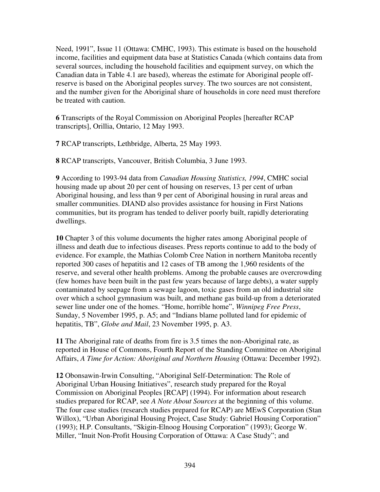Need, 1991", Issue 11 (Ottawa: CMHC, 1993). This estimate is based on the household income, facilities and equipment data base at Statistics Canada (which contains data from several sources, including the household facilities and equipment survey, on which the Canadian data in Table 4.1 are based), whereas the estimate for Aboriginal people offreserve is based on the Aboriginal peoples survey. The two sources are not consistent, and the number given for the Aboriginal share of households in core need must therefore be treated with caution.

**6** Transcripts of the Royal Commission on Aboriginal Peoples [hereafter RCAP transcripts], Orillia, Ontario, 12 May 1993.

**7** RCAP transcripts, Lethbridge, Alberta, 25 May 1993.

**8** RCAP transcripts, Vancouver, British Columbia, 3 June 1993.

**9** According to 1993-94 data from *Canadian Housing Statistics, 1994*, CMHC social housing made up about 20 per cent of housing on reserves, 13 per cent of urban Aboriginal housing, and less than 9 per cent of Aboriginal housing in rural areas and smaller communities. DIAND also provides assistance for housing in First Nations communities, but its program has tended to deliver poorly built, rapidly deteriorating dwellings.

**10** Chapter 3 of this volume documents the higher rates among Aboriginal people of illness and death due to infectious diseases. Press reports continue to add to the body of evidence. For example, the Mathias Colomb Cree Nation in northern Manitoba recently reported 300 cases of hepatitis and 12 cases of TB among the 1,960 residents of the reserve, and several other health problems. Among the probable causes are overcrowding (few homes have been built in the past few years because of large debts), a water supply contaminated by seepage from a sewage lagoon, toxic gases from an old industrial site over which a school gymnasium was built, and methane gas build-up from a deteriorated sewer line under one of the homes. "Home, horrible home", *Winnipeg Free Press*, Sunday, 5 November 1995, p. A5; and "Indians blame polluted land for epidemic of hepatitis, TB", *Globe and Mail*, 23 November 1995, p. A3.

**11** The Aboriginal rate of deaths from fire is 3.5 times the non-Aboriginal rate, as reported in House of Commons, Fourth Report of the Standing Committee on Aboriginal Affairs, *A Time for Action: Aboriginal and Northern Housing* (Ottawa: December 1992).

**12** Obonsawin-Irwin Consulting, "Aboriginal Self-Determination: The Role of Aboriginal Urban Housing Initiatives", research study prepared for the Royal Commission on Aboriginal Peoples [RCAP] (1994). For information about research studies prepared for RCAP, see *A Note About Sources* at the beginning of this volume. The four case studies (research studies prepared for RCAP) are MEwS Corporation (Stan Willox), "Urban Aboriginal Housing Project, Case Study: Gabriel Housing Corporation" (1993); H.P. Consultants, "Skigin-Elnoog Housing Corporation" (1993); George W. Miller, "Inuit Non-Profit Housing Corporation of Ottawa: A Case Study"; and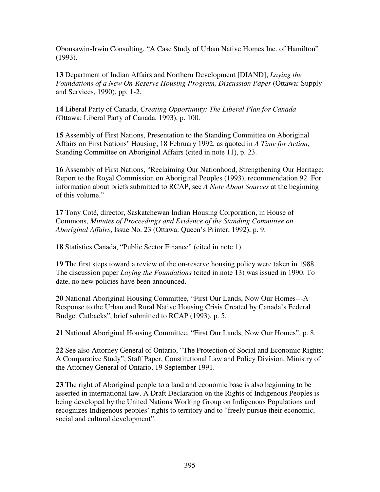Obonsawin-Irwin Consulting, "A Case Study of Urban Native Homes Inc. of Hamilton" (1993).

**13** Department of Indian Affairs and Northern Development [DIAND], *Laying the Foundations of a New On-Reserve Housing Program, Discussion Paper* (Ottawa: Supply and Services, 1990), pp. 1-2.

**14** Liberal Party of Canada, *Creating Opportunity: The Liberal Plan for Canada* (Ottawa: Liberal Party of Canada, 1993), p. 100.

**15** Assembly of First Nations, Presentation to the Standing Committee on Aboriginal Affairs on First Nations' Housing, 18 February 1992, as quoted in *A Time for Action*, Standing Committee on Aboriginal Affairs (cited in note 11), p. 23.

**16** Assembly of First Nations, "Reclaiming Our Nationhood, Strengthening Our Heritage: Report to the Royal Commission on Aboriginal Peoples (1993), recommendation 92. For information about briefs submitted to RCAP, see *A Note About Sources* at the beginning of this volume."

**17** Tony Coté, director, Saskatchewan Indian Housing Corporation, in House of Commons, *Minutes of Proceedings and Evidence of the Standing Committee on Aboriginal Affairs*, Issue No. 23 (Ottawa: Queen's Printer, 1992), p. 9.

**18** Statistics Canada, "Public Sector Finance" (cited in note 1).

**19** The first steps toward a review of the on-reserve housing policy were taken in 1988. The discussion paper *Laying the Foundations* (cited in note 13) was issued in 1990. To date, no new policies have been announced.

**20** National Aboriginal Housing Committee, "First Our Lands, Now Our Homes---A Response to the Urban and Rural Native Housing Crisis Created by Canada's Federal Budget Cutbacks", brief submitted to RCAP (1993), p. 5.

**21** National Aboriginal Housing Committee, "First Our Lands, Now Our Homes", p. 8.

**22** See also Attorney General of Ontario, "The Protection of Social and Economic Rights: A Comparative Study", Staff Paper, Constitutional Law and Policy Division, Ministry of the Attorney General of Ontario, 19 September 1991.

**23** The right of Aboriginal people to a land and economic base is also beginning to be asserted in international law. A Draft Declaration on the Rights of Indigenous Peoples is being developed by the United Nations Working Group on Indigenous Populations and recognizes Indigenous peoples' rights to territory and to "freely pursue their economic, social and cultural development".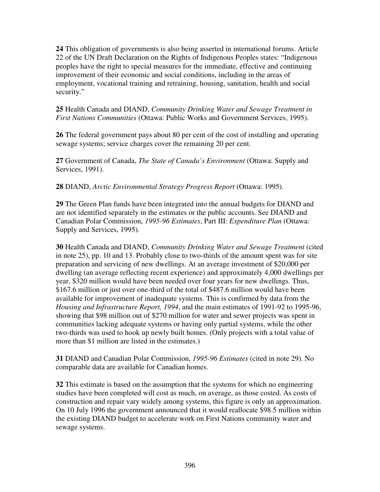**24** This obligation of governments is also being asserted in international forums. Article 22 of the UN Draft Declaration on the Rights of Indigenous Peoples states: "Indigenous peoples have the right to special measures for the immediate, effective and continuing improvement of their economic and social conditions, including in the areas of employment, vocational training and retraining, housing, sanitation, health and social security."

**25** Health Canada and DIAND, *Community Drinking Water and Sewage Treatment in First Nations Communities* (Ottawa: Public Works and Government Services, 1995).

**26** The federal government pays about 80 per cent of the cost of installing and operating sewage systems; service charges cover the remaining 20 per cent.

**27** Government of Canada, *The State of Canada's Environment* (Ottawa: Supply and Services, 1991).

**28** DIAND, *Arctic Environmental Strategy Progress Report* (Ottawa: 1995).

**29** The Green Plan funds have been integrated into the annual budgets for DIAND and are not identified separately in the estimates or the public accounts. See DIAND and Canadian Polar Commission, *1995-96 Estimates*, Part III: *Expenditure Plan* (Ottawa: Supply and Services, 1995).

**30** Health Canada and DIAND, *Community Drinking Water and Sewage Treatment* (cited in note 25), pp. 10 and 13. Probably close to two-thirds of the amount spent was for site preparation and servicing of new dwellings. At an average investment of \$20,000 per dwelling (an average reflecting recent experience) and approximately 4,000 dwellings per year, \$320 million would have been needed over four years for new dwellings. Thus, \$167.6 million or just over one-third of the total of \$487.6 million would have been available for improvement of inadequate systems. This is confirmed by data from the *Housing and Infrastructure Report, 1994*, and the main estimates of 1991-92 to 1995-96, showing that \$98 million out of \$270 million for water and sewer projects was spent in communities lacking adequate systems or having only partial systems, while the other two-thirds was used to hook up newly built homes. (Only projects with a total value of more than \$1 million are listed in the estimates.)

**31** DIAND and Canadian Polar Commission, *1995-96 Estimates* (cited in note 29). No comparable data are available for Canadian homes.

**32** This estimate is based on the assumption that the systems for which no engineering studies have been completed will cost as much, on average, as those costed. As costs of construction and repair vary widely among systems, this figure is only an approximation. On 10 July 1996 the government announced that it would reallocate \$98.5 million within the existing DIAND budget to accelerate work on First Nations community water and sewage systems.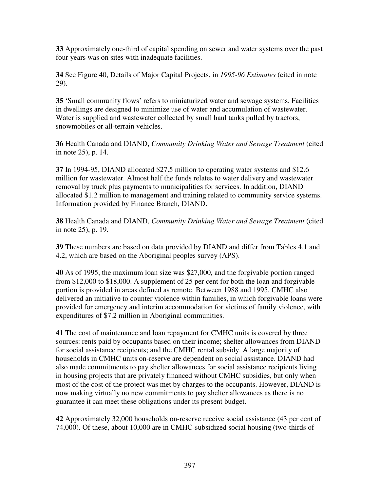**33** Approximately one-third of capital spending on sewer and water systems over the past four years was on sites with inadequate facilities.

**34** See Figure 40, Details of Major Capital Projects, in *1995-96 Estimates* (cited in note 29).

**35** 'Small community flows' refers to miniaturized water and sewage systems. Facilities in dwellings are designed to minimize use of water and accumulation of wastewater. Water is supplied and wastewater collected by small haul tanks pulled by tractors, snowmobiles or all-terrain vehicles.

**36** Health Canada and DIAND, *Community Drinking Water and Sewage Treatment* (cited in note 25), p. 14.

**37** In 1994-95, DIAND allocated \$27.5 million to operating water systems and \$12.6 million for wastewater. Almost half the funds relates to water delivery and wastewater removal by truck plus payments to municipalities for services. In addition, DIAND allocated \$1.2 million to management and training related to community service systems. Information provided by Finance Branch, DIAND.

**38** Health Canada and DIAND, *Community Drinking Water and Sewage Treatment* (cited in note 25), p. 19.

**39** These numbers are based on data provided by DIAND and differ from Tables 4.1 and 4.2, which are based on the Aboriginal peoples survey (APS).

**40** As of 1995, the maximum loan size was \$27,000, and the forgivable portion ranged from \$12,000 to \$18,000. A supplement of 25 per cent for both the loan and forgivable portion is provided in areas defined as remote. Between 1988 and 1995, CMHC also delivered an initiative to counter violence within families, in which forgivable loans were provided for emergency and interim accommodation for victims of family violence, with expenditures of \$7.2 million in Aboriginal communities.

**41** The cost of maintenance and loan repayment for CMHC units is covered by three sources: rents paid by occupants based on their income; shelter allowances from DIAND for social assistance recipients; and the CMHC rental subsidy. A large majority of households in CMHC units on-reserve are dependent on social assistance. DIAND had also made commitments to pay shelter allowances for social assistance recipients living in housing projects that are privately financed without CMHC subsidies, but only when most of the cost of the project was met by charges to the occupants. However, DIAND is now making virtually no new commitments to pay shelter allowances as there is no guarantee it can meet these obligations under its present budget.

**42** Approximately 32,000 households on-reserve receive social assistance (43 per cent of 74,000). Of these, about 10,000 are in CMHC-subsidized social housing (two-thirds of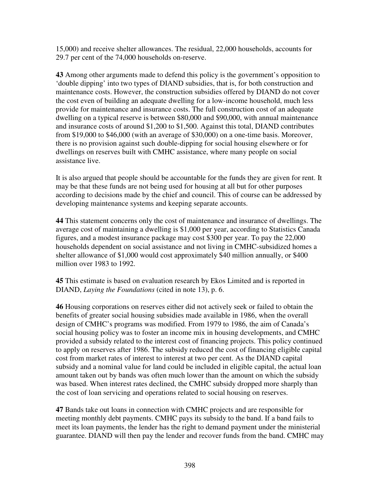15,000) and receive shelter allowances. The residual, 22,000 households, accounts for 29.7 per cent of the 74,000 households on-reserve.

**43** Among other arguments made to defend this policy is the government's opposition to 'double dipping' into two types of DIAND subsidies, that is, for both construction and maintenance costs. However, the construction subsidies offered by DIAND do not cover the cost even of building an adequate dwelling for a low-income household, much less provide for maintenance and insurance costs. The full construction cost of an adequate dwelling on a typical reserve is between \$80,000 and \$90,000, with annual maintenance and insurance costs of around \$1,200 to \$1,500. Against this total, DIAND contributes from \$19,000 to \$46,000 (with an average of \$30,000) on a one-time basis. Moreover, there is no provision against such double-dipping for social housing elsewhere or for dwellings on reserves built with CMHC assistance, where many people on social assistance live.

It is also argued that people should be accountable for the funds they are given for rent. It may be that these funds are not being used for housing at all but for other purposes according to decisions made by the chief and council. This of course can be addressed by developing maintenance systems and keeping separate accounts.

**44** This statement concerns only the cost of maintenance and insurance of dwellings. The average cost of maintaining a dwelling is \$1,000 per year, according to Statistics Canada figures, and a modest insurance package may cost \$300 per year. To pay the 22,000 households dependent on social assistance and not living in CMHC-subsidized homes a shelter allowance of \$1,000 would cost approximately \$40 million annually, or \$400 million over 1983 to 1992.

**45** This estimate is based on evaluation research by Ekos Limited and is reported in DIAND, *Laying the Foundations* (cited in note 13), p. 6.

**46** Housing corporations on reserves either did not actively seek or failed to obtain the benefits of greater social housing subsidies made available in 1986, when the overall design of CMHC's programs was modified. From 1979 to 1986, the aim of Canada's social housing policy was to foster an income mix in housing developments, and CMHC provided a subsidy related to the interest cost of financing projects. This policy continued to apply on reserves after 1986. The subsidy reduced the cost of financing eligible capital cost from market rates of interest to interest at two per cent. As the DIAND capital subsidy and a nominal value for land could be included in eligible capital, the actual loan amount taken out by bands was often much lower than the amount on which the subsidy was based. When interest rates declined, the CMHC subsidy dropped more sharply than the cost of loan servicing and operations related to social housing on reserves.

**47** Bands take out loans in connection with CMHC projects and are responsible for meeting monthly debt payments. CMHC pays its subsidy to the band. If a band fails to meet its loan payments, the lender has the right to demand payment under the ministerial guarantee. DIAND will then pay the lender and recover funds from the band. CMHC may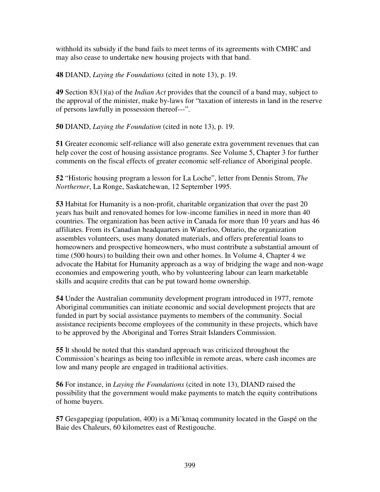withhold its subsidy if the band fails to meet terms of its agreements with CMHC and may also cease to undertake new housing projects with that band.

**48** DIAND, *Laying the Foundations* (cited in note 13), p. 19.

**49** Section 83(1)(a) of the *Indian Act* provides that the council of a band may, subject to the approval of the minister, make by-laws for "taxation of interests in land in the reserve of persons lawfully in possession thereof---".

**50** DIAND, *Laying the Foundation* (cited in note 13), p. 19.

**51** Greater economic self-reliance will also generate extra government revenues that can help cover the cost of housing assistance programs. See Volume 5, Chapter 3 for further comments on the fiscal effects of greater economic self-reliance of Aboriginal people.

**52** "Historic housing program a lesson for La Loche", letter from Dennis Strom, *The Northerner*, La Ronge, Saskatchewan, 12 September 1995.

**53** Habitat for Humanity is a non-profit, charitable organization that over the past 20 years has built and renovated homes for low-income families in need in more than 40 countries. The organization has been active in Canada for more than 10 years and has 46 affiliates. From its Canadian headquarters in Waterloo, Ontario, the organization assembles volunteers, uses many donated materials, and offers preferential loans to homeowners and prospective homeowners, who must contribute a substantial amount of time (500 hours) to building their own and other homes. In Volume 4, Chapter 4 we advocate the Habitat for Humanity approach as a way of bridging the wage and non-wage economies and empowering youth, who by volunteering labour can learn marketable skills and acquire credits that can be put toward home ownership.

**54** Under the Australian community development program introduced in 1977, remote Aboriginal communities can initiate economic and social development projects that are funded in part by social assistance payments to members of the community. Social assistance recipients become employees of the community in these projects, which have to be approved by the Aboriginal and Torres Strait Islanders Commission.

**55** It should be noted that this standard approach was criticized throughout the Commission's hearings as being too inflexible in remote areas, where cash incomes are low and many people are engaged in traditional activities.

**56** For instance, in *Laying the Foundations* (cited in note 13), DIAND raised the possibility that the government would make payments to match the equity contributions of home buyers.

**57** Gesgapegiag (population, 400) is a Mi'kmaq community located in the Gaspé on the Baie des Chaleurs, 60 kilometres east of Restigouche.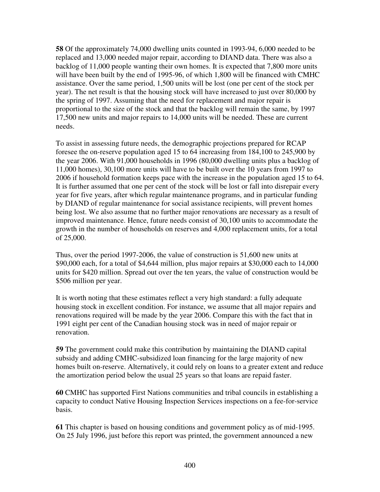**58** Of the approximately 74,000 dwelling units counted in 1993-94, 6,000 needed to be replaced and 13,000 needed major repair, according to DIAND data. There was also a backlog of 11,000 people wanting their own homes. It is expected that 7,800 more units will have been built by the end of 1995-96, of which 1,800 will be financed with CMHC assistance. Over the same period, 1,500 units will be lost (one per cent of the stock per year). The net result is that the housing stock will have increased to just over 80,000 by the spring of 1997. Assuming that the need for replacement and major repair is proportional to the size of the stock and that the backlog will remain the same, by 1997 17,500 new units and major repairs to 14,000 units will be needed. These are current needs.

To assist in assessing future needs, the demographic projections prepared for RCAP foresee the on-reserve population aged 15 to 64 increasing from 184,100 to 245,900 by the year 2006. With 91,000 households in 1996 (80,000 dwelling units plus a backlog of 11,000 homes), 30,100 more units will have to be built over the 10 years from 1997 to 2006 if household formation keeps pace with the increase in the population aged 15 to 64. It is further assumed that one per cent of the stock will be lost or fall into disrepair every year for five years, after which regular maintenance programs, and in particular funding by DIAND of regular maintenance for social assistance recipients, will prevent homes being lost. We also assume that no further major renovations are necessary as a result of improved maintenance. Hence, future needs consist of 30,100 units to accommodate the growth in the number of households on reserves and 4,000 replacement units, for a total of 25,000.

Thus, over the period 1997-2006, the value of construction is 51,600 new units at \$90,000 each, for a total of \$4,644 million, plus major repairs at \$30,000 each to 14,000 units for \$420 million. Spread out over the ten years, the value of construction would be \$506 million per year.

It is worth noting that these estimates reflect a very high standard: a fully adequate housing stock in excellent condition. For instance, we assume that all major repairs and renovations required will be made by the year 2006. Compare this with the fact that in 1991 eight per cent of the Canadian housing stock was in need of major repair or renovation.

**59** The government could make this contribution by maintaining the DIAND capital subsidy and adding CMHC-subsidized loan financing for the large majority of new homes built on-reserve. Alternatively, it could rely on loans to a greater extent and reduce the amortization period below the usual 25 years so that loans are repaid faster.

**60** CMHC has supported First Nations communities and tribal councils in establishing a capacity to conduct Native Housing Inspection Services inspections on a fee-for-service basis.

**61** This chapter is based on housing conditions and government policy as of mid-1995. On 25 July 1996, just before this report was printed, the government announced a new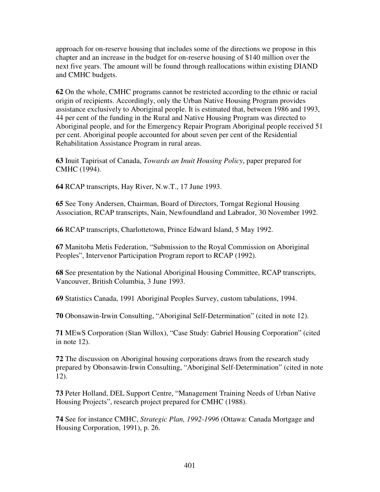approach for on-reserve housing that includes some of the directions we propose in this chapter and an increase in the budget for on-reserve housing of \$140 million over the next five years. The amount will be found through reallocations within existing DIAND and CMHC budgets.

**62** On the whole, CMHC programs cannot be restricted according to the ethnic or racial origin of recipients. Accordingly, only the Urban Native Housing Program provides assistance exclusively to Aboriginal people. It is estimated that, between 1986 and 1993, 44 per cent of the funding in the Rural and Native Housing Program was directed to Aboriginal people, and for the Emergency Repair Program Aboriginal people received 51 per cent. Aboriginal people accounted for about seven per cent of the Residential Rehabilitation Assistance Program in rural areas.

**63** Inuit Tapirisat of Canada, *Towards an Inuit Housing Policy*, paper prepared for CMHC (1994).

**64** RCAP transcripts, Hay River, N.w.T., 17 June 1993.

**65** See Tony Andersen, Chairman, Board of Directors, Torngat Regional Housing Association, RCAP transcripts, Nain, Newfoundland and Labrador, 30 November 1992.

**66** RCAP transcripts, Charlottetown, Prince Edward Island, 5 May 1992.

**67** Manitoba Metis Federation, "Submission to the Royal Commission on Aboriginal Peoples", Intervenor Participation Program report to RCAP (1992).

**68** See presentation by the National Aboriginal Housing Committee, RCAP transcripts, Vancouver, British Columbia, 3 June 1993.

**69** Statistics Canada, 1991 Aboriginal Peoples Survey, custom tabulations, 1994.

**70** Obonsawin-Irwin Consulting, "Aboriginal Self-Determination" (cited in note 12).

**71** MEwS Corporation (Stan Willox), "Case Study: Gabriel Housing Corporation" (cited in note 12).

**72** The discussion on Aboriginal housing corporations draws from the research study prepared by Obonsawin-Irwin Consulting, "Aboriginal Self-Determination" (cited in note 12).

**73** Peter Holland, DEL Support Centre, "Management Training Needs of Urban Native Housing Projects", research project prepared for CMHC (1988).

**74** See for instance CMHC, *Strategic Plan, 1992-1996* (Ottawa: Canada Mortgage and Housing Corporation, 1991), p. 26.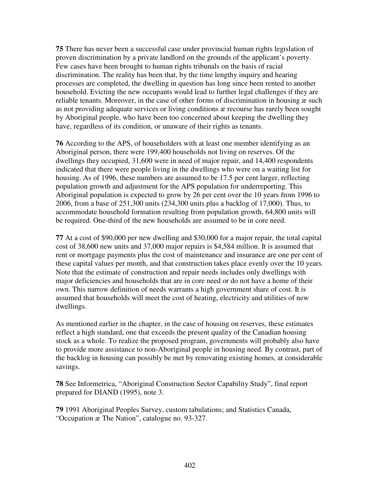**75** There has never been a successful case under provincial human rights legislation of proven discrimination by a private landlord on the grounds of the applicant's poverty. Few cases have been brought to human rights tribunals on the basis of racial discrimination. The reality has been that, by the time lengthy inquiry and hearing processes are completed, the dwelling in question has long since been rented to another household. Evicting the new occupants would lead to further legal challenges if they are reliable tenants. Moreover, in the case of other forms of discrimination in housing æ such as not providing adequate services or living conditions æ recourse has rarely been sought by Aboriginal people, who have been too concerned about keeping the dwelling they have, regardless of its condition, or unaware of their rights as tenants.

**76** According to the APS, of householders with at least one member identifying as an Aboriginal person, there were 199,400 households not living on reserves. Of the dwellings they occupied, 31,600 were in need of major repair, and 14,400 respondents indicated that there were people living in the dwellings who were on a waiting list for housing. As of 1996, these numbers are assumed to be 17.5 per cent larger, reflecting population growth and adjustment for the APS population for underreporting. This Aboriginal population is expected to grow by 26 per cent over the 10 years from 1996 to 2006, from a base of 251,300 units (234,300 units plus a backlog of 17,000). Thus, to accommodate household formation resulting from population growth, 64,800 units will be required. One-third of the new households are assumed to be in core need.

**77** At a cost of \$90,000 per new dwelling and \$30,000 for a major repair, the total capital cost of 38,600 new units and 37,000 major repairs is \$4,584 million. It is assumed that rent or mortgage payments plus the cost of maintenance and insurance are one per cent of these capital values per month, and that construction takes place evenly over the 10 years. Note that the estimate of construction and repair needs includes only dwellings with major deficiencies and households that are in core need or do not have a home of their own. This narrow definition of needs warrants a high government share of cost. It is assumed that households will meet the cost of heating, electricity and utilities of new dwellings.

As mentioned earlier in the chapter, in the case of housing on reserves, these estimates reflect a high standard, one that exceeds the present quality of the Canadian housing stock as a whole. To realize the proposed program, governments will probably also have to provide more assistance to non-Aboriginal people in housing need. By contrast, part of the backlog in housing can possibly be met by renovating existing homes, at considerable savings.

**78** See Informetrica, "Aboriginal Construction Sector Capability Study", final report prepared for DIAND (1995), note 3.

**79** 1991 Aboriginal Peoples Survey, custom tabulations; and Statistics Canada, "Occupation æ The Nation", catalogue no. 93-327.